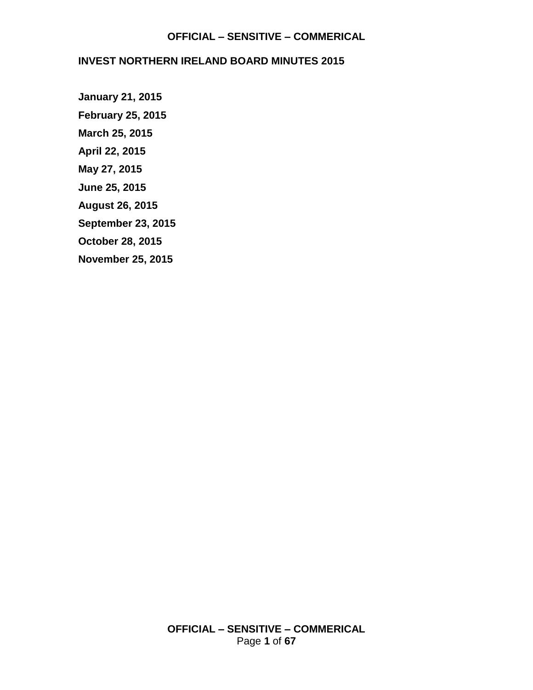### **INVEST NORTHERN IRELAND BOARD MINUTES 2015**

**[January 21, 2015](#page-1-0) [February 25, 2015](#page-4-0) [March 25, 2015](#page-10-0) [April 22, 2015](#page-16-0) [May 27, 2015](#page-23-0) [June 25, 2015](#page-30-0) [August 26, 2015](#page-38-0) [September 23, 2015](#page-45-0) [October 28, 2015](#page-52-0) [November 25, 2015](#page-58-0)**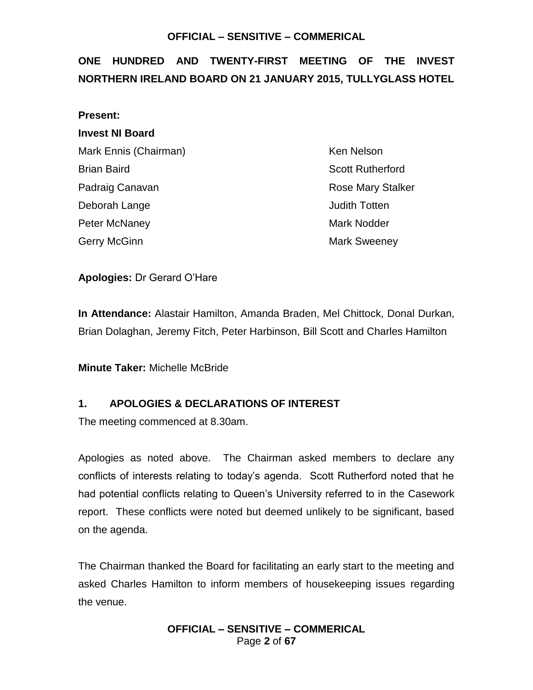# <span id="page-1-0"></span>**ONE HUNDRED AND TWENTY-FIRST MEETING OF THE INVEST NORTHERN IRELAND BOARD ON 21 JANUARY 2015, TULLYGLASS HOTEL**

| <b>Present:</b>        |
|------------------------|
| <b>Invest NI Board</b> |
| Mark Ennis (Chairman)  |
| Brian Baird            |
| Padraig Canavan        |
| Deborah Lange          |
| <b>Peter McNaney</b>   |
| Gerry McGinn           |

Ken Nelson **Scott Rutherford** Rose Mary Stalker **Judith Totten** Mark Nodder Mark Sweeney

**Apologies:** Dr Gerard O'Hare

**In Attendance:** Alastair Hamilton, Amanda Braden, Mel Chittock, Donal Durkan, Brian Dolaghan, Jeremy Fitch, Peter Harbinson, Bill Scott and Charles Hamilton

**Minute Taker:** Michelle McBride

### **1. APOLOGIES & DECLARATIONS OF INTEREST**

The meeting commenced at 8.30am.

Apologies as noted above. The Chairman asked members to declare any conflicts of interests relating to today's agenda. Scott Rutherford noted that he had potential conflicts relating to Queen's University referred to in the Casework report. These conflicts were noted but deemed unlikely to be significant, based on the agenda.

The Chairman thanked the Board for facilitating an early start to the meeting and asked Charles Hamilton to inform members of housekeeping issues regarding the venue.

> **OFFICIAL – SENSITIVE – COMMERICAL** Page **2** of **67**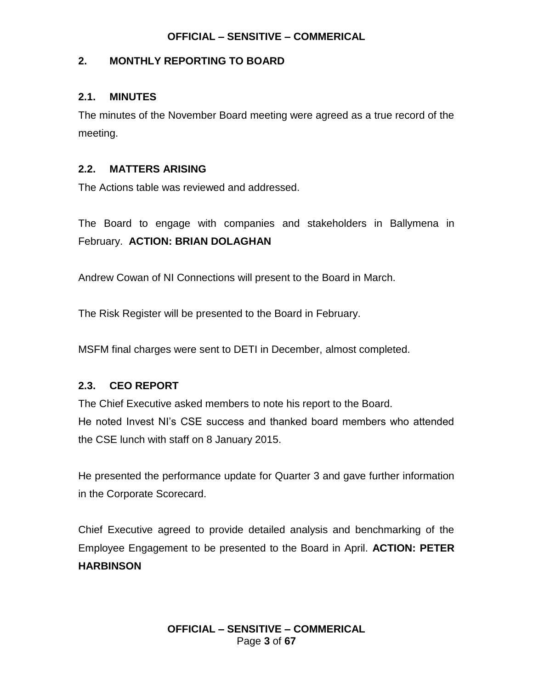### **2. MONTHLY REPORTING TO BOARD**

### **2.1. MINUTES**

The minutes of the November Board meeting were agreed as a true record of the meeting.

### **2.2. MATTERS ARISING**

The Actions table was reviewed and addressed.

The Board to engage with companies and stakeholders in Ballymena in February. **ACTION: BRIAN DOLAGHAN**

Andrew Cowan of NI Connections will present to the Board in March.

The Risk Register will be presented to the Board in February.

MSFM final charges were sent to DETI in December, almost completed.

# **2.3. CEO REPORT**

The Chief Executive asked members to note his report to the Board. He noted Invest NI's CSE success and thanked board members who attended the CSE lunch with staff on 8 January 2015.

He presented the performance update for Quarter 3 and gave further information in the Corporate Scorecard.

Chief Executive agreed to provide detailed analysis and benchmarking of the Employee Engagement to be presented to the Board in April. **ACTION: PETER HARBINSON**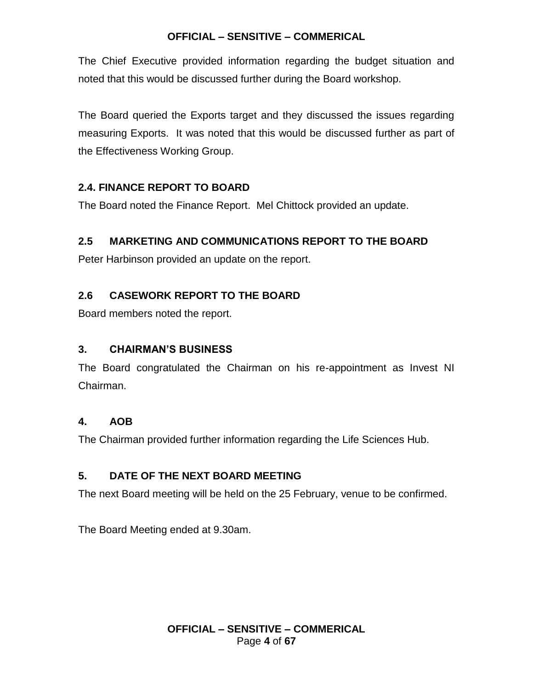The Chief Executive provided information regarding the budget situation and noted that this would be discussed further during the Board workshop.

The Board queried the Exports target and they discussed the issues regarding measuring Exports. It was noted that this would be discussed further as part of the Effectiveness Working Group.

# **2.4. FINANCE REPORT TO BOARD**

The Board noted the Finance Report. Mel Chittock provided an update.

# **2.5 MARKETING AND COMMUNICATIONS REPORT TO THE BOARD**

Peter Harbinson provided an update on the report.

# **2.6 CASEWORK REPORT TO THE BOARD**

Board members noted the report.

# **3. CHAIRMAN'S BUSINESS**

The Board congratulated the Chairman on his re-appointment as Invest NI Chairman.

# **4. AOB**

The Chairman provided further information regarding the Life Sciences Hub.

# **5. DATE OF THE NEXT BOARD MEETING**

The next Board meeting will be held on the 25 February, venue to be confirmed.

The Board Meeting ended at 9.30am.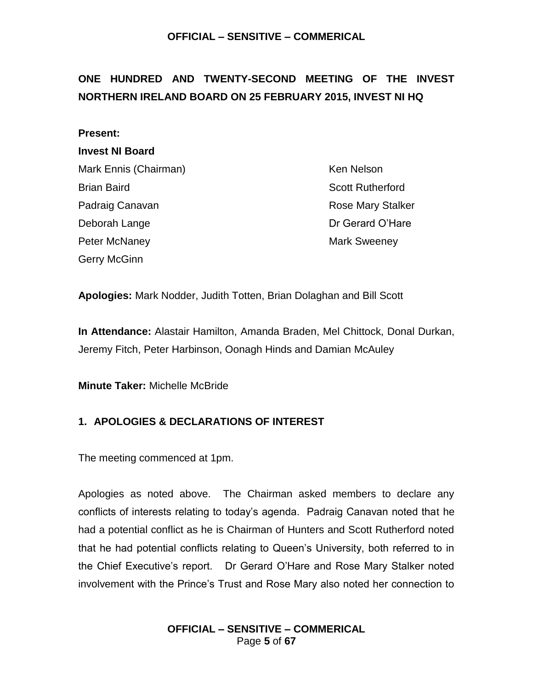# <span id="page-4-0"></span>**ONE HUNDRED AND TWENTY-SECOND MEETING OF THE INVEST NORTHERN IRELAND BOARD ON 25 FEBRUARY 2015, INVEST NI HQ**

#### **Present:**

#### **Invest NI Board**

Mark Ennis (Chairman) Ken Nelson Brian Baird Scott Rutherford Padraig Canavan **Rose Mary Stalker** Rose Mary Stalker Deborah Lange Deborah Lange Dr Gerard O'Hare Peter McNaney **Mark Sweeney** Mark Sweeney Gerry McGinn

**Apologies:** Mark Nodder, Judith Totten, Brian Dolaghan and Bill Scott

**In Attendance:** Alastair Hamilton, Amanda Braden, Mel Chittock, Donal Durkan, Jeremy Fitch, Peter Harbinson, Oonagh Hinds and Damian McAuley

**Minute Taker:** Michelle McBride

# **1. APOLOGIES & DECLARATIONS OF INTEREST**

The meeting commenced at 1pm.

Apologies as noted above. The Chairman asked members to declare any conflicts of interests relating to today's agenda. Padraig Canavan noted that he had a potential conflict as he is Chairman of Hunters and Scott Rutherford noted that he had potential conflicts relating to Queen's University, both referred to in the Chief Executive's report. Dr Gerard O'Hare and Rose Mary Stalker noted involvement with the Prince's Trust and Rose Mary also noted her connection to

> **OFFICIAL – SENSITIVE – COMMERICAL** Page **5** of **67**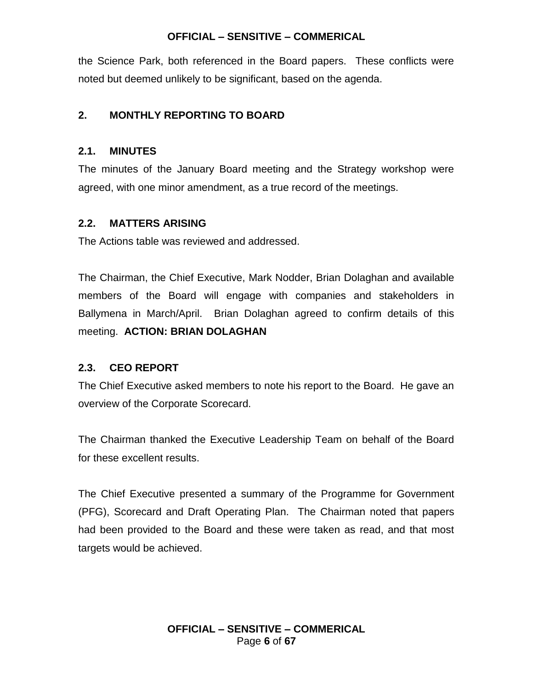the Science Park, both referenced in the Board papers. These conflicts were noted but deemed unlikely to be significant, based on the agenda.

# **2. MONTHLY REPORTING TO BOARD**

### **2.1. MINUTES**

The minutes of the January Board meeting and the Strategy workshop were agreed, with one minor amendment, as a true record of the meetings.

# **2.2. MATTERS ARISING**

The Actions table was reviewed and addressed.

The Chairman, the Chief Executive, Mark Nodder, Brian Dolaghan and available members of the Board will engage with companies and stakeholders in Ballymena in March/April. Brian Dolaghan agreed to confirm details of this meeting. **ACTION: BRIAN DOLAGHAN**

# **2.3. CEO REPORT**

The Chief Executive asked members to note his report to the Board. He gave an overview of the Corporate Scorecard.

The Chairman thanked the Executive Leadership Team on behalf of the Board for these excellent results.

The Chief Executive presented a summary of the Programme for Government (PFG), Scorecard and Draft Operating Plan. The Chairman noted that papers had been provided to the Board and these were taken as read, and that most targets would be achieved.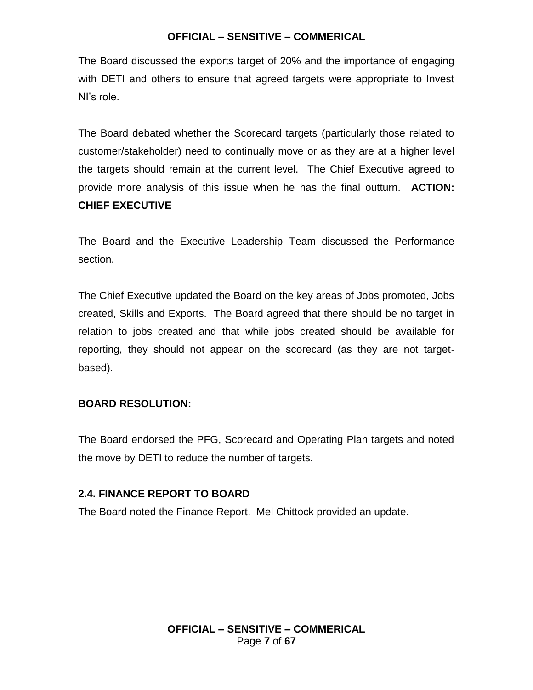The Board discussed the exports target of 20% and the importance of engaging with DETI and others to ensure that agreed targets were appropriate to Invest NI's role.

The Board debated whether the Scorecard targets (particularly those related to customer/stakeholder) need to continually move or as they are at a higher level the targets should remain at the current level. The Chief Executive agreed to provide more analysis of this issue when he has the final outturn. **ACTION: CHIEF EXECUTIVE**

The Board and the Executive Leadership Team discussed the Performance section.

The Chief Executive updated the Board on the key areas of Jobs promoted, Jobs created, Skills and Exports. The Board agreed that there should be no target in relation to jobs created and that while jobs created should be available for reporting, they should not appear on the scorecard (as they are not targetbased).

### **BOARD RESOLUTION:**

The Board endorsed the PFG, Scorecard and Operating Plan targets and noted the move by DETI to reduce the number of targets.

# **2.4. FINANCE REPORT TO BOARD**

The Board noted the Finance Report. Mel Chittock provided an update.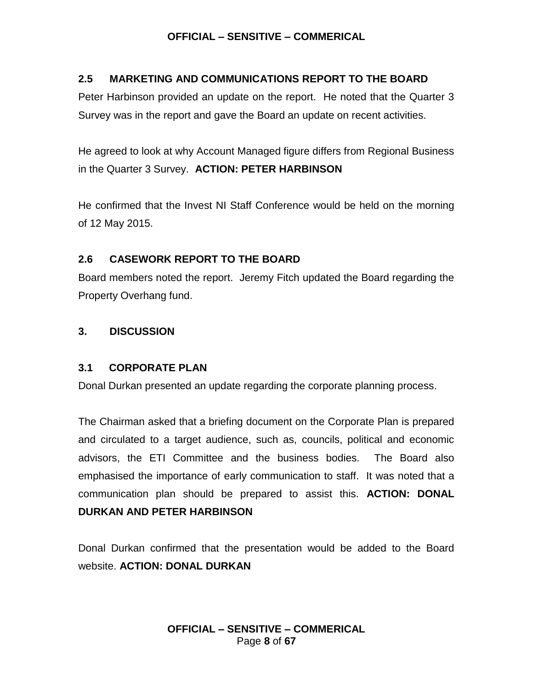### **2.5 MARKETING AND COMMUNICATIONS REPORT TO THE BOARD**

Peter Harbinson provided an update on the report. He noted that the Quarter 3 Survey was in the report and gave the Board an update on recent activities.

He agreed to look at why Account Managed figure differs from Regional Business in the Quarter 3 Survey. **ACTION: PETER HARBINSON**

He confirmed that the Invest NI Staff Conference would be held on the morning of 12 May 2015.

### **2.6 CASEWORK REPORT TO THE BOARD**

Board members noted the report. Jeremy Fitch updated the Board regarding the Property Overhang fund.

### **3. DISCUSSION**

### **3.1 CORPORATE PLAN**

Donal Durkan presented an update regarding the corporate planning process.

The Chairman asked that a briefing document on the Corporate Plan is prepared and circulated to a target audience, such as, councils, political and economic advisors, the ETI Committee and the business bodies. The Board also emphasised the importance of early communication to staff. It was noted that a communication plan should be prepared to assist this. **ACTION: DONAL DURKAN AND PETER HARBINSON**

Donal Durkan confirmed that the presentation would be added to the Board website. **ACTION: DONAL DURKAN**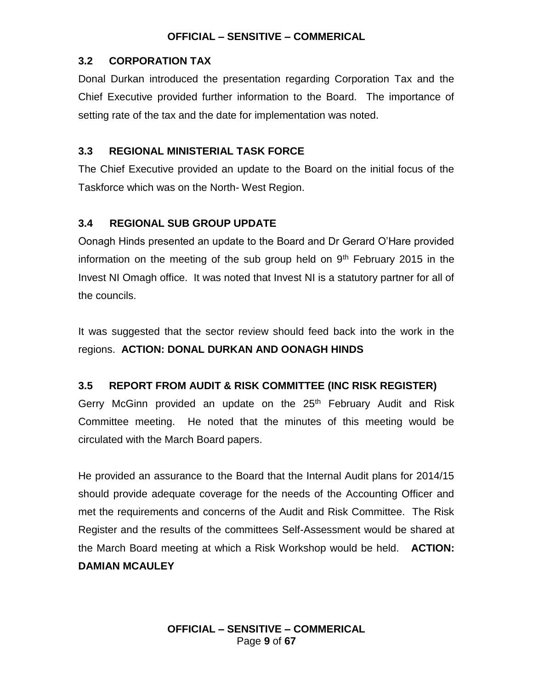### **3.2 CORPORATION TAX**

Donal Durkan introduced the presentation regarding Corporation Tax and the Chief Executive provided further information to the Board. The importance of setting rate of the tax and the date for implementation was noted.

### **3.3 REGIONAL MINISTERIAL TASK FORCE**

The Chief Executive provided an update to the Board on the initial focus of the Taskforce which was on the North- West Region.

# **3.4 REGIONAL SUB GROUP UPDATE**

Oonagh Hinds presented an update to the Board and Dr Gerard O'Hare provided information on the meeting of the sub group held on  $9<sup>th</sup>$  February 2015 in the Invest NI Omagh office. It was noted that Invest NI is a statutory partner for all of the councils.

It was suggested that the sector review should feed back into the work in the regions. **ACTION: DONAL DURKAN AND OONAGH HINDS**

# **3.5 REPORT FROM AUDIT & RISK COMMITTEE (INC RISK REGISTER)**

Gerry McGinn provided an update on the 25<sup>th</sup> February Audit and Risk Committee meeting. He noted that the minutes of this meeting would be circulated with the March Board papers.

He provided an assurance to the Board that the Internal Audit plans for 2014/15 should provide adequate coverage for the needs of the Accounting Officer and met the requirements and concerns of the Audit and Risk Committee. The Risk Register and the results of the committees Self-Assessment would be shared at the March Board meeting at which a Risk Workshop would be held. **ACTION: DAMIAN MCAULEY**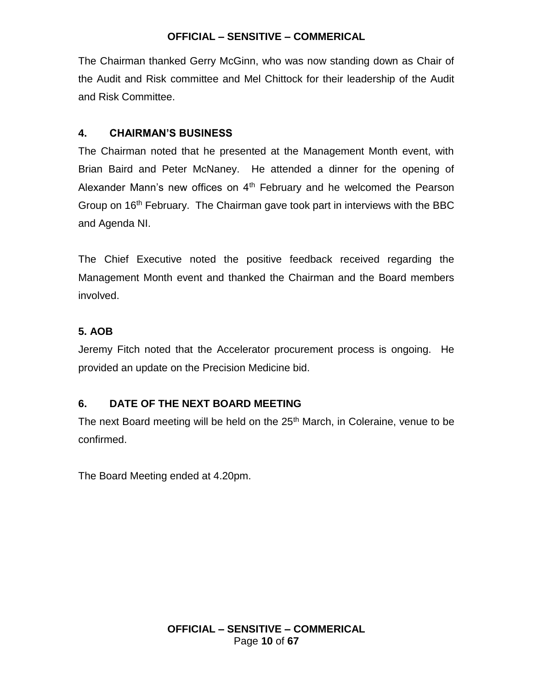The Chairman thanked Gerry McGinn, who was now standing down as Chair of the Audit and Risk committee and Mel Chittock for their leadership of the Audit and Risk Committee.

# **4. CHAIRMAN'S BUSINESS**

The Chairman noted that he presented at the Management Month event, with Brian Baird and Peter McNaney. He attended a dinner for the opening of Alexander Mann's new offices on 4<sup>th</sup> February and he welcomed the Pearson Group on 16th February. The Chairman gave took part in interviews with the BBC and Agenda NI.

The Chief Executive noted the positive feedback received regarding the Management Month event and thanked the Chairman and the Board members involved.

# **5. AOB**

Jeremy Fitch noted that the Accelerator procurement process is ongoing. He provided an update on the Precision Medicine bid.

# **6. DATE OF THE NEXT BOARD MEETING**

The next Board meeting will be held on the 25<sup>th</sup> March, in Coleraine, venue to be confirmed.

The Board Meeting ended at 4.20pm.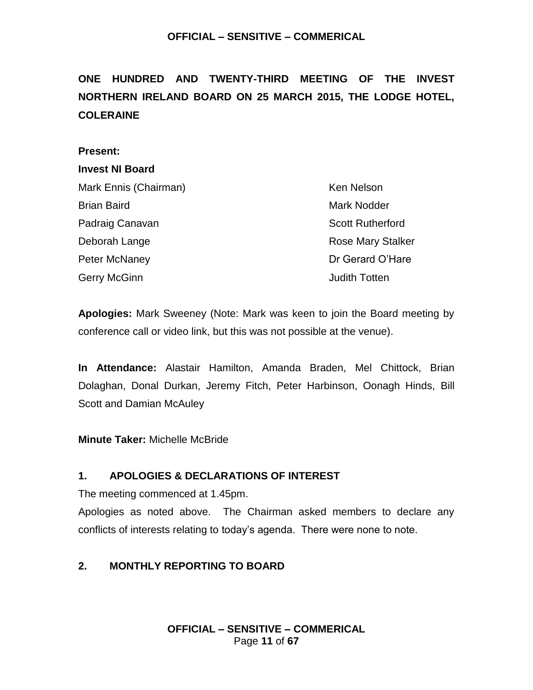# <span id="page-10-0"></span>**ONE HUNDRED AND TWENTY-THIRD MEETING OF THE INVEST NORTHERN IRELAND BOARD ON 25 MARCH 2015, THE LODGE HOTEL, COLERAINE**

#### **Present:**

#### **Invest NI Board**

| Mark Ennis (Chairman) | Ken Nelson               |
|-----------------------|--------------------------|
| <b>Brian Baird</b>    | <b>Mark Nodder</b>       |
| Padraig Canavan       | <b>Scott Rutherford</b>  |
| Deborah Lange         | <b>Rose Mary Stalker</b> |
| Peter McNaney         | Dr Gerard O'Hare         |
| Gerry McGinn          | <b>Judith Totten</b>     |

**Apologies:** Mark Sweeney (Note: Mark was keen to join the Board meeting by conference call or video link, but this was not possible at the venue).

**In Attendance:** Alastair Hamilton, Amanda Braden, Mel Chittock, Brian Dolaghan, Donal Durkan, Jeremy Fitch, Peter Harbinson, Oonagh Hinds, Bill Scott and Damian McAuley

**Minute Taker:** Michelle McBride

# **1. APOLOGIES & DECLARATIONS OF INTEREST**

The meeting commenced at 1.45pm.

Apologies as noted above. The Chairman asked members to declare any conflicts of interests relating to today's agenda. There were none to note.

# **2. MONTHLY REPORTING TO BOARD**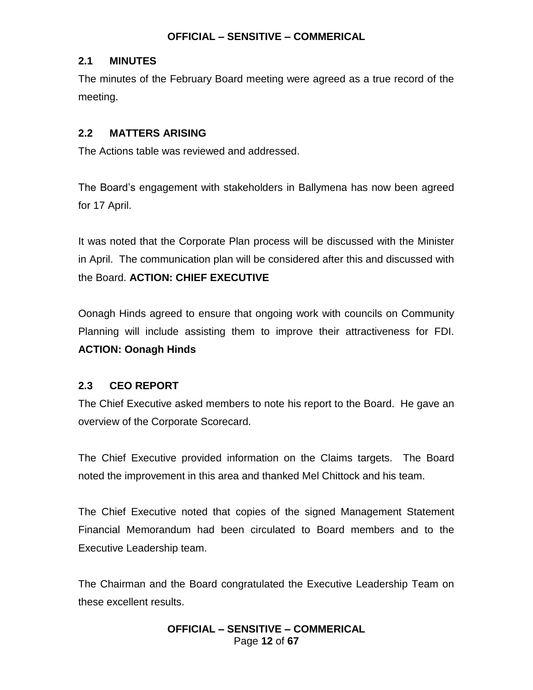### **2.1 MINUTES**

The minutes of the February Board meeting were agreed as a true record of the meeting.

# **2.2 MATTERS ARISING**

The Actions table was reviewed and addressed.

The Board's engagement with stakeholders in Ballymena has now been agreed for 17 April.

It was noted that the Corporate Plan process will be discussed with the Minister in April. The communication plan will be considered after this and discussed with the Board. **ACTION: CHIEF EXECUTIVE**

Oonagh Hinds agreed to ensure that ongoing work with councils on Community Planning will include assisting them to improve their attractiveness for FDI. **ACTION: Oonagh Hinds**

# **2.3 CEO REPORT**

The Chief Executive asked members to note his report to the Board. He gave an overview of the Corporate Scorecard.

The Chief Executive provided information on the Claims targets. The Board noted the improvement in this area and thanked Mel Chittock and his team.

The Chief Executive noted that copies of the signed Management Statement Financial Memorandum had been circulated to Board members and to the Executive Leadership team.

The Chairman and the Board congratulated the Executive Leadership Team on these excellent results.

> **OFFICIAL – SENSITIVE – COMMERICAL** Page **12** of **67**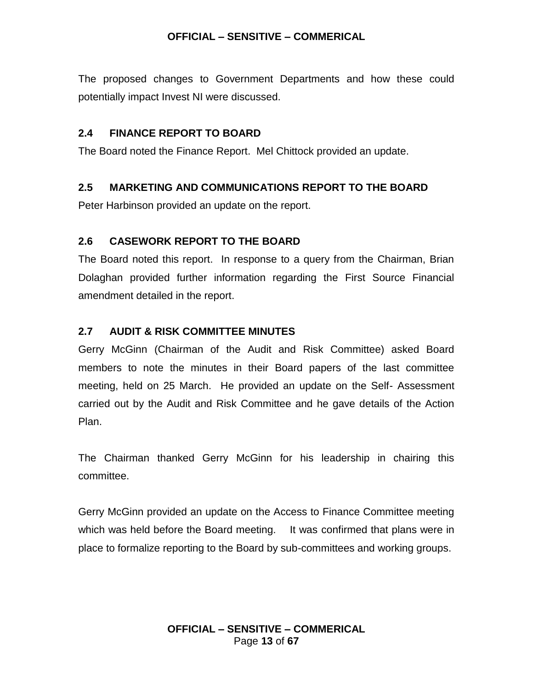The proposed changes to Government Departments and how these could potentially impact Invest NI were discussed.

### **2.4 FINANCE REPORT TO BOARD**

The Board noted the Finance Report. Mel Chittock provided an update.

### **2.5 MARKETING AND COMMUNICATIONS REPORT TO THE BOARD**

Peter Harbinson provided an update on the report.

### **2.6 CASEWORK REPORT TO THE BOARD**

The Board noted this report. In response to a query from the Chairman, Brian Dolaghan provided further information regarding the First Source Financial amendment detailed in the report.

### **2.7 AUDIT & RISK COMMITTEE MINUTES**

Gerry McGinn (Chairman of the Audit and Risk Committee) asked Board members to note the minutes in their Board papers of the last committee meeting, held on 25 March. He provided an update on the Self- Assessment carried out by the Audit and Risk Committee and he gave details of the Action Plan.

The Chairman thanked Gerry McGinn for his leadership in chairing this committee.

Gerry McGinn provided an update on the Access to Finance Committee meeting which was held before the Board meeting. It was confirmed that plans were in place to formalize reporting to the Board by sub-committees and working groups.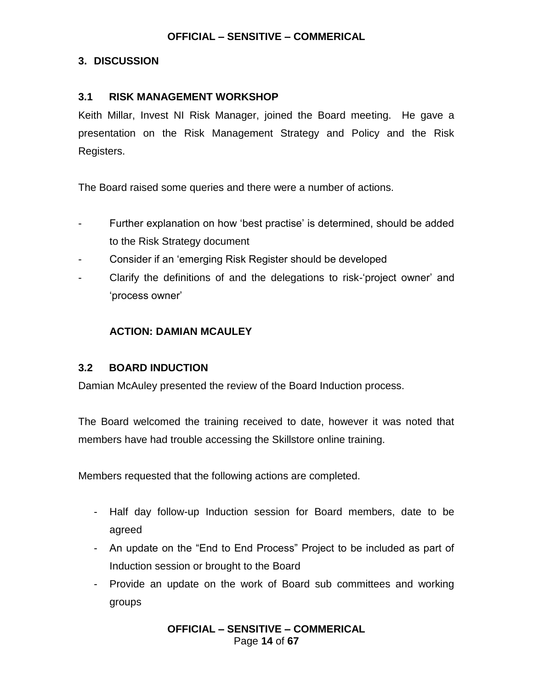### **3. DISCUSSION**

### **3.1 RISK MANAGEMENT WORKSHOP**

Keith Millar, Invest NI Risk Manager, joined the Board meeting. He gave a presentation on the Risk Management Strategy and Policy and the Risk Registers.

The Board raised some queries and there were a number of actions.

- Further explanation on how 'best practise' is determined, should be added to the Risk Strategy document
- Consider if an 'emerging Risk Register should be developed
- Clarify the definitions of and the delegations to risk-'project owner' and 'process owner'

### **ACTION: DAMIAN MCAULEY**

### **3.2 BOARD INDUCTION**

Damian McAuley presented the review of the Board Induction process.

The Board welcomed the training received to date, however it was noted that members have had trouble accessing the Skillstore online training.

Members requested that the following actions are completed.

- Half day follow-up Induction session for Board members, date to be agreed
- An update on the "End to End Process" Project to be included as part of Induction session or brought to the Board
- Provide an update on the work of Board sub committees and working groups

**OFFICIAL – SENSITIVE – COMMERICAL** Page **14** of **67**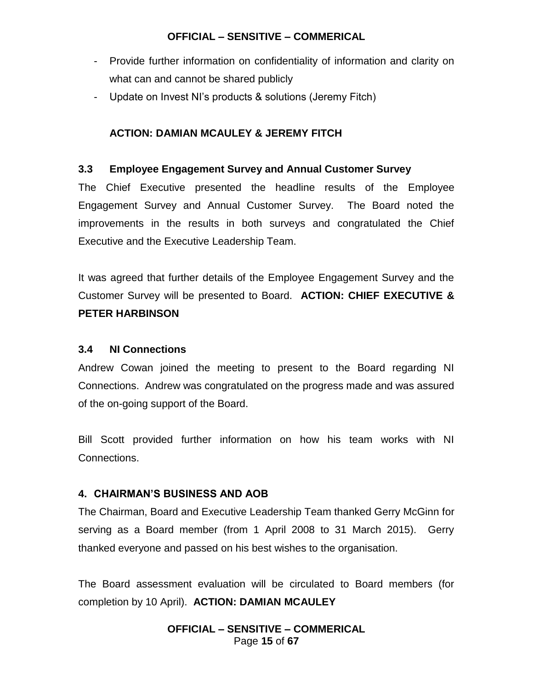- Provide further information on confidentiality of information and clarity on what can and cannot be shared publicly
- Update on Invest NI's products & solutions (Jeremy Fitch)

# **ACTION: DAMIAN MCAULEY & JEREMY FITCH**

### **3.3 Employee Engagement Survey and Annual Customer Survey**

The Chief Executive presented the headline results of the Employee Engagement Survey and Annual Customer Survey. The Board noted the improvements in the results in both surveys and congratulated the Chief Executive and the Executive Leadership Team.

It was agreed that further details of the Employee Engagement Survey and the Customer Survey will be presented to Board. **ACTION: CHIEF EXECUTIVE & PETER HARBINSON**

### **3.4 NI Connections**

Andrew Cowan joined the meeting to present to the Board regarding NI Connections. Andrew was congratulated on the progress made and was assured of the on-going support of the Board.

Bill Scott provided further information on how his team works with NI Connections.

# **4. CHAIRMAN'S BUSINESS AND AOB**

The Chairman, Board and Executive Leadership Team thanked Gerry McGinn for serving as a Board member (from 1 April 2008 to 31 March 2015). Gerry thanked everyone and passed on his best wishes to the organisation.

The Board assessment evaluation will be circulated to Board members (for completion by 10 April). **ACTION: DAMIAN MCAULEY**

> **OFFICIAL – SENSITIVE – COMMERICAL** Page **15** of **67**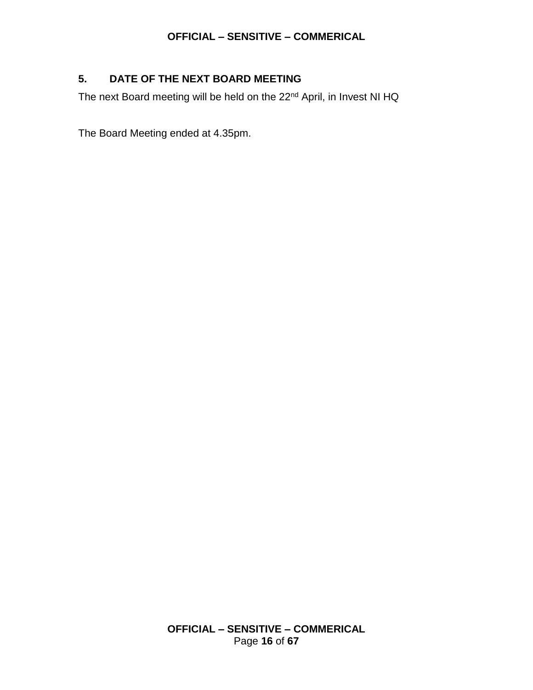# **5. DATE OF THE NEXT BOARD MEETING**

The next Board meeting will be held on the 22<sup>nd</sup> April, in Invest NI HQ

The Board Meeting ended at 4.35pm.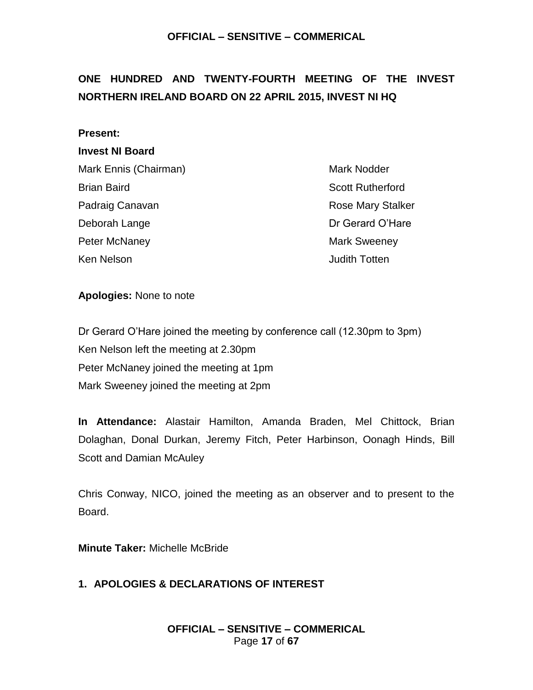# <span id="page-16-0"></span>**ONE HUNDRED AND TWENTY-FOURTH MEETING OF THE INVEST NORTHERN IRELAND BOARD ON 22 APRIL 2015, INVEST NI HQ**

#### **Present:**

#### **Invest NI Board**

| Mark Ennis (Chairman)             |
|-----------------------------------|
| <b>Brian Baird</b>                |
| Padraig Canavan                   |
| Deborah Lange                     |
| <b>Peter McNaney</b>              |
| $1/\lambda \sim \lambda$ Material |

Mark Nodder **Scott Rutherford** Rose Mary Stalker Dr Gerard O'Hare **Mark Sweeney** Ken Nelson **Accord Contract Contract Contract Contract Contract Contract Contract Contract Contract Contract Contract Contract Contract Contract Contract Contract Contract Contract Contract Contract Contract Contract Contr** 

#### **Apologies:** None to note

Dr Gerard O'Hare joined the meeting by conference call (12.30pm to 3pm) Ken Nelson left the meeting at 2.30pm Peter McNaney joined the meeting at 1pm Mark Sweeney joined the meeting at 2pm

**In Attendance:** Alastair Hamilton, Amanda Braden, Mel Chittock, Brian Dolaghan, Donal Durkan, Jeremy Fitch, Peter Harbinson, Oonagh Hinds, Bill Scott and Damian McAuley

Chris Conway, NICO, joined the meeting as an observer and to present to the Board.

**Minute Taker:** Michelle McBride

### **1. APOLOGIES & DECLARATIONS OF INTEREST**

**OFFICIAL – SENSITIVE – COMMERICAL** Page **17** of **67**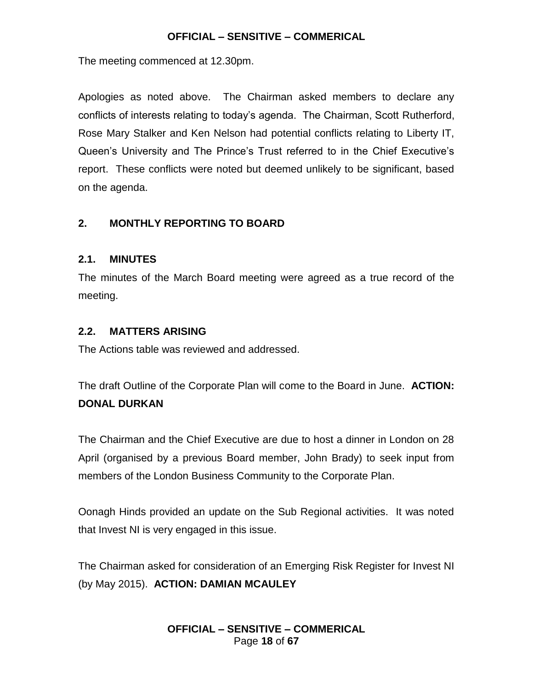The meeting commenced at 12.30pm.

Apologies as noted above. The Chairman asked members to declare any conflicts of interests relating to today's agenda. The Chairman, Scott Rutherford, Rose Mary Stalker and Ken Nelson had potential conflicts relating to Liberty IT, Queen's University and The Prince's Trust referred to in the Chief Executive's report. These conflicts were noted but deemed unlikely to be significant, based on the agenda.

# **2. MONTHLY REPORTING TO BOARD**

# **2.1. MINUTES**

The minutes of the March Board meeting were agreed as a true record of the meeting.

### **2.2. MATTERS ARISING**

The Actions table was reviewed and addressed.

The draft Outline of the Corporate Plan will come to the Board in June. **ACTION: DONAL DURKAN**

The Chairman and the Chief Executive are due to host a dinner in London on 28 April (organised by a previous Board member, John Brady) to seek input from members of the London Business Community to the Corporate Plan.

Oonagh Hinds provided an update on the Sub Regional activities. It was noted that Invest NI is very engaged in this issue.

The Chairman asked for consideration of an Emerging Risk Register for Invest NI (by May 2015). **ACTION: DAMIAN MCAULEY**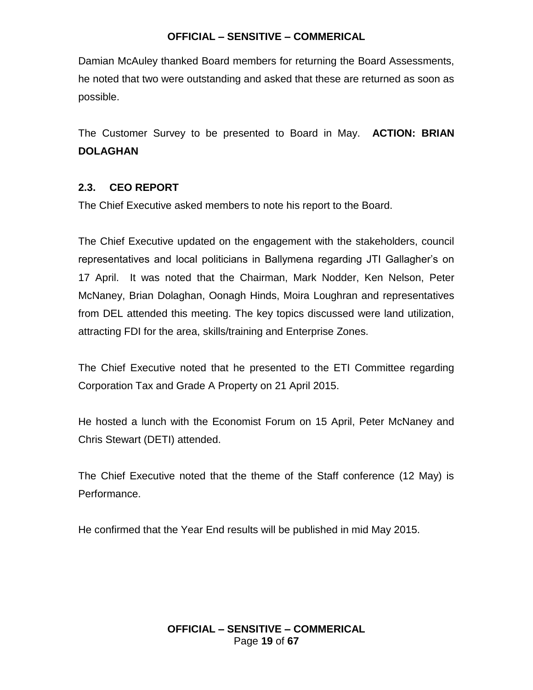Damian McAuley thanked Board members for returning the Board Assessments, he noted that two were outstanding and asked that these are returned as soon as possible.

The Customer Survey to be presented to Board in May. **ACTION: BRIAN DOLAGHAN**

### **2.3. CEO REPORT**

The Chief Executive asked members to note his report to the Board.

The Chief Executive updated on the engagement with the stakeholders, council representatives and local politicians in Ballymena regarding JTI Gallagher's on 17 April. It was noted that the Chairman, Mark Nodder, Ken Nelson, Peter McNaney, Brian Dolaghan, Oonagh Hinds, Moira Loughran and representatives from DEL attended this meeting. The key topics discussed were land utilization, attracting FDI for the area, skills/training and Enterprise Zones.

The Chief Executive noted that he presented to the ETI Committee regarding Corporation Tax and Grade A Property on 21 April 2015.

He hosted a lunch with the Economist Forum on 15 April, Peter McNaney and Chris Stewart (DETI) attended.

The Chief Executive noted that the theme of the Staff conference (12 May) is Performance.

He confirmed that the Year End results will be published in mid May 2015.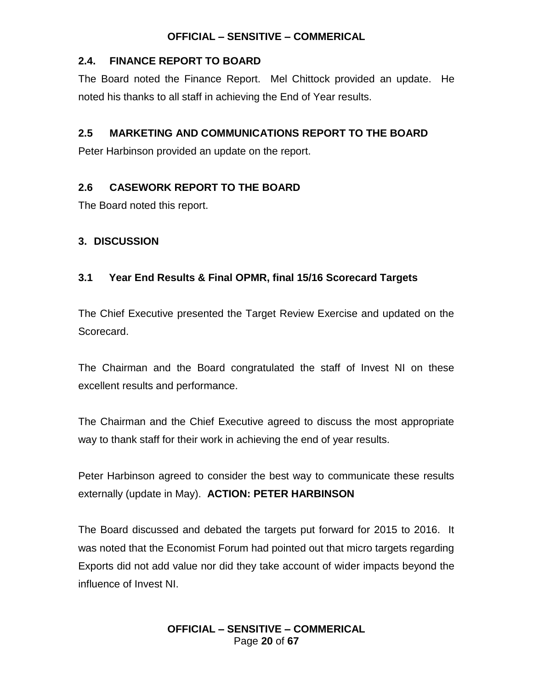### **2.4. FINANCE REPORT TO BOARD**

The Board noted the Finance Report. Mel Chittock provided an update. He noted his thanks to all staff in achieving the End of Year results.

# **2.5 MARKETING AND COMMUNICATIONS REPORT TO THE BOARD**

Peter Harbinson provided an update on the report.

# **2.6 CASEWORK REPORT TO THE BOARD**

The Board noted this report.

# **3. DISCUSSION**

# **3.1 Year End Results & Final OPMR, final 15/16 Scorecard Targets**

The Chief Executive presented the Target Review Exercise and updated on the Scorecard.

The Chairman and the Board congratulated the staff of Invest NI on these excellent results and performance.

The Chairman and the Chief Executive agreed to discuss the most appropriate way to thank staff for their work in achieving the end of year results.

Peter Harbinson agreed to consider the best way to communicate these results externally (update in May). **ACTION: PETER HARBINSON**

The Board discussed and debated the targets put forward for 2015 to 2016. It was noted that the Economist Forum had pointed out that micro targets regarding Exports did not add value nor did they take account of wider impacts beyond the influence of Invest NI.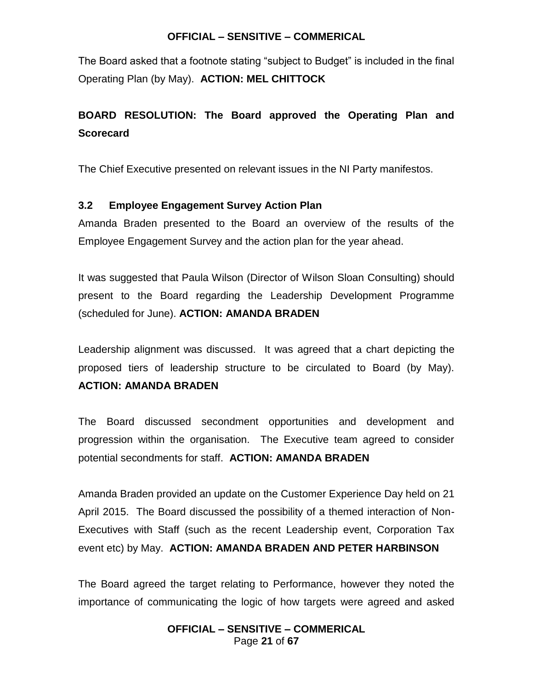The Board asked that a footnote stating "subject to Budget" is included in the final Operating Plan (by May). **ACTION: MEL CHITTOCK**

# **BOARD RESOLUTION: The Board approved the Operating Plan and Scorecard**

The Chief Executive presented on relevant issues in the NI Party manifestos.

### **3.2 Employee Engagement Survey Action Plan**

Amanda Braden presented to the Board an overview of the results of the Employee Engagement Survey and the action plan for the year ahead.

It was suggested that Paula Wilson (Director of Wilson Sloan Consulting) should present to the Board regarding the Leadership Development Programme (scheduled for June). **ACTION: AMANDA BRADEN**

Leadership alignment was discussed. It was agreed that a chart depicting the proposed tiers of leadership structure to be circulated to Board (by May).

# **ACTION: AMANDA BRADEN**

The Board discussed secondment opportunities and development and progression within the organisation. The Executive team agreed to consider potential secondments for staff. **ACTION: AMANDA BRADEN**

Amanda Braden provided an update on the Customer Experience Day held on 21 April 2015. The Board discussed the possibility of a themed interaction of Non-Executives with Staff (such as the recent Leadership event, Corporation Tax event etc) by May. **ACTION: AMANDA BRADEN AND PETER HARBINSON**

The Board agreed the target relating to Performance, however they noted the importance of communicating the logic of how targets were agreed and asked

### **OFFICIAL – SENSITIVE – COMMERICAL** Page **21** of **67**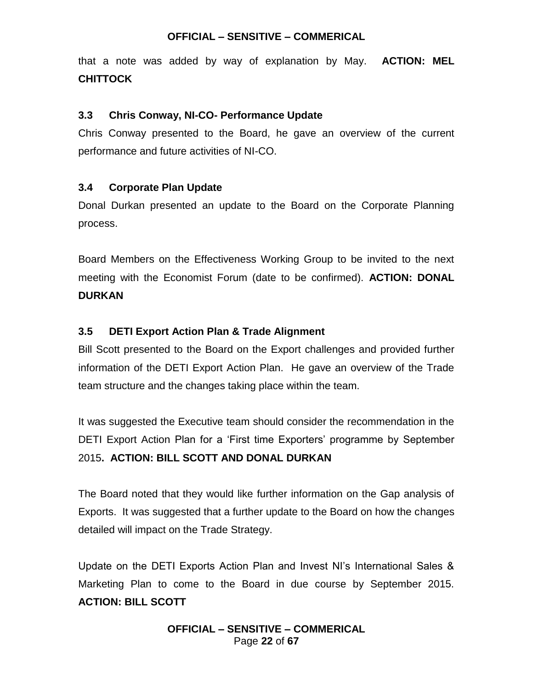that a note was added by way of explanation by May. **ACTION: MEL CHITTOCK**

### **3.3 Chris Conway, NI-CO- Performance Update**

Chris Conway presented to the Board, he gave an overview of the current performance and future activities of NI-CO.

### **3.4 Corporate Plan Update**

Donal Durkan presented an update to the Board on the Corporate Planning process.

Board Members on the Effectiveness Working Group to be invited to the next meeting with the Economist Forum (date to be confirmed). **ACTION: DONAL DURKAN**

### **3.5 DETI Export Action Plan & Trade Alignment**

Bill Scott presented to the Board on the Export challenges and provided further information of the DETI Export Action Plan. He gave an overview of the Trade team structure and the changes taking place within the team.

It was suggested the Executive team should consider the recommendation in the DETI Export Action Plan for a 'First time Exporters' programme by September 2015**. ACTION: BILL SCOTT AND DONAL DURKAN**

The Board noted that they would like further information on the Gap analysis of Exports. It was suggested that a further update to the Board on how the changes detailed will impact on the Trade Strategy.

Update on the DETI Exports Action Plan and Invest NI's International Sales & Marketing Plan to come to the Board in due course by September 2015. **ACTION: BILL SCOTT**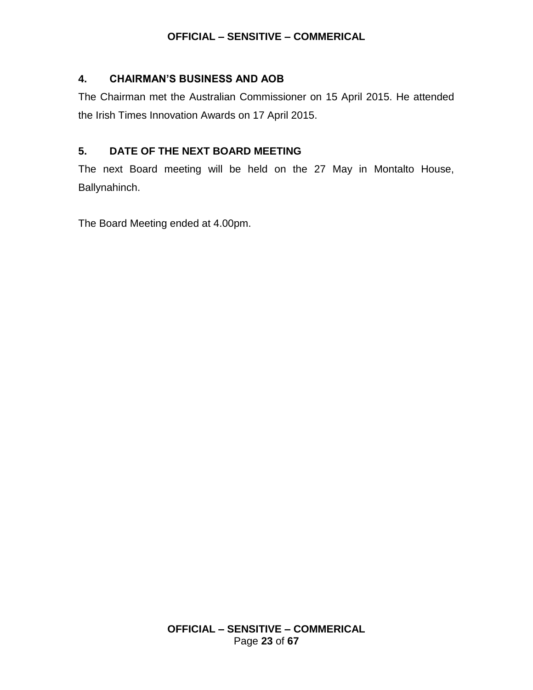### **4. CHAIRMAN'S BUSINESS AND AOB**

The Chairman met the Australian Commissioner on 15 April 2015. He attended the Irish Times Innovation Awards on 17 April 2015.

# **5. DATE OF THE NEXT BOARD MEETING**

The next Board meeting will be held on the 27 May in Montalto House, Ballynahinch.

The Board Meeting ended at 4.00pm.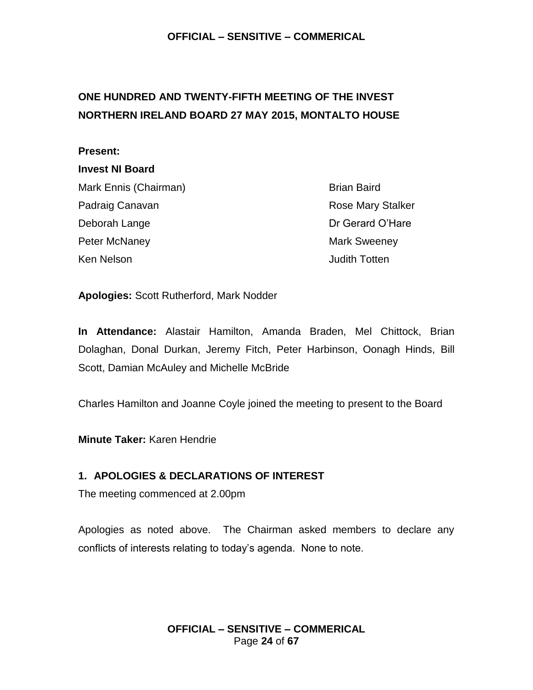# <span id="page-23-0"></span>**ONE HUNDRED AND TWENTY-FIFTH MEETING OF THE INVEST NORTHERN IRELAND BOARD 27 MAY 2015, MONTALTO HOUSE**

#### **Present:**

### **Invest NI Board**

Mark Ennis (Chairman) Brian Baird Padraig Canavan **Rose Mary Stalker** Rose Mary Stalker Deborah Lange **Dr Gerard O'Hare** Peter McNaney **Mark Sweeney** Mark Sweeney

Ken Nelson **Accord Contract Contract Contract Contract Contract Contract Contract Contract Contract Contract Contract Contract Contract Contract Contract Contract Contract Contract Contract Contract Contract Contract Contr** 

**Apologies:** Scott Rutherford, Mark Nodder

**In Attendance:** Alastair Hamilton, Amanda Braden, Mel Chittock, Brian Dolaghan, Donal Durkan, Jeremy Fitch, Peter Harbinson, Oonagh Hinds, Bill Scott, Damian McAuley and Michelle McBride

Charles Hamilton and Joanne Coyle joined the meeting to present to the Board

**Minute Taker:** Karen Hendrie

# **1. APOLOGIES & DECLARATIONS OF INTEREST**

The meeting commenced at 2.00pm

Apologies as noted above. The Chairman asked members to declare any conflicts of interests relating to today's agenda. None to note.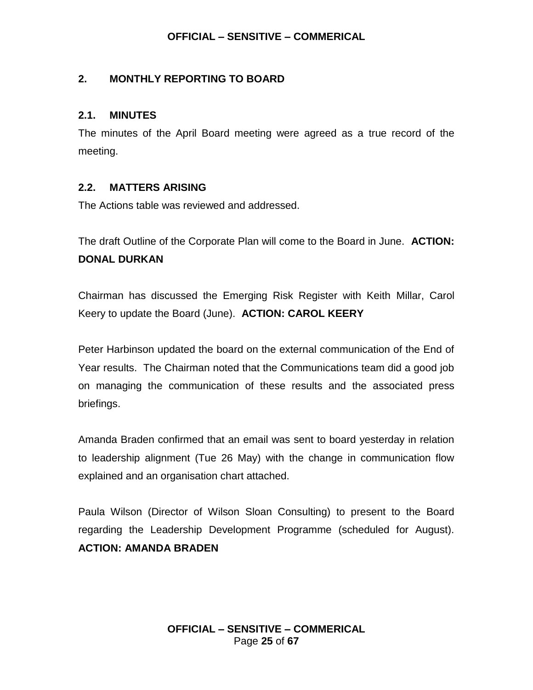### **2. MONTHLY REPORTING TO BOARD**

### **2.1. MINUTES**

The minutes of the April Board meeting were agreed as a true record of the meeting.

### **2.2. MATTERS ARISING**

The Actions table was reviewed and addressed.

The draft Outline of the Corporate Plan will come to the Board in June. **ACTION: DONAL DURKAN**

Chairman has discussed the Emerging Risk Register with Keith Millar, Carol Keery to update the Board (June). **ACTION: CAROL KEERY**

Peter Harbinson updated the board on the external communication of the End of Year results. The Chairman noted that the Communications team did a good job on managing the communication of these results and the associated press briefings.

Amanda Braden confirmed that an email was sent to board yesterday in relation to leadership alignment (Tue 26 May) with the change in communication flow explained and an organisation chart attached.

Paula Wilson (Director of Wilson Sloan Consulting) to present to the Board regarding the Leadership Development Programme (scheduled for August). **ACTION: AMANDA BRADEN**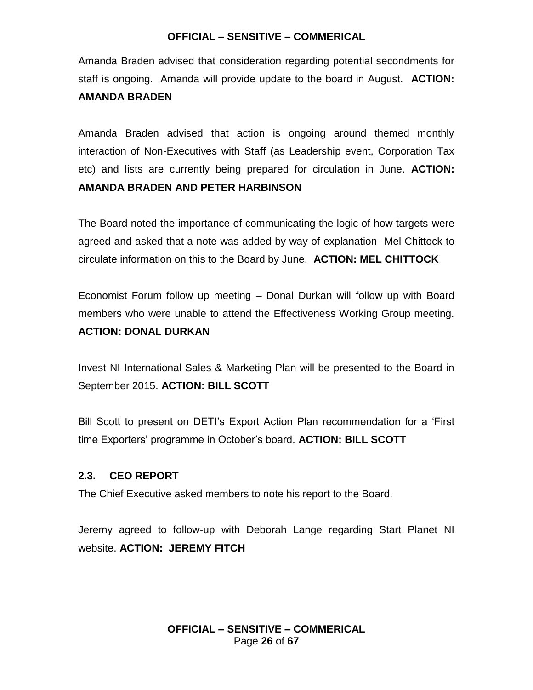Amanda Braden advised that consideration regarding potential secondments for staff is ongoing. Amanda will provide update to the board in August. **ACTION: AMANDA BRADEN**

Amanda Braden advised that action is ongoing around themed monthly interaction of Non-Executives with Staff (as Leadership event, Corporation Tax etc) and lists are currently being prepared for circulation in June. **ACTION: AMANDA BRADEN AND PETER HARBINSON** 

The Board noted the importance of communicating the logic of how targets were agreed and asked that a note was added by way of explanation- Mel Chittock to circulate information on this to the Board by June. **ACTION: MEL CHITTOCK**

Economist Forum follow up meeting – Donal Durkan will follow up with Board members who were unable to attend the Effectiveness Working Group meeting. **ACTION: DONAL DURKAN**

Invest NI International Sales & Marketing Plan will be presented to the Board in September 2015. **ACTION: BILL SCOTT** 

Bill Scott to present on DETI's Export Action Plan recommendation for a 'First time Exporters' programme in October's board. **ACTION: BILL SCOTT** 

# **2.3. CEO REPORT**

The Chief Executive asked members to note his report to the Board.

Jeremy agreed to follow-up with Deborah Lange regarding Start Planet NI website. **ACTION: JEREMY FITCH**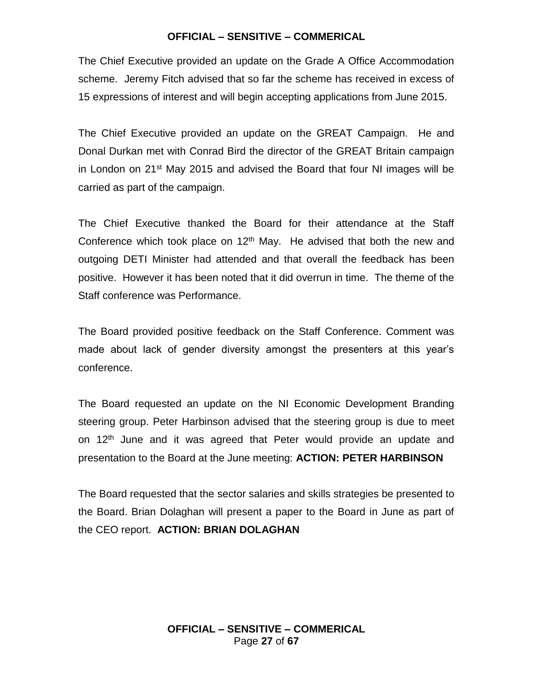The Chief Executive provided an update on the Grade A Office Accommodation scheme. Jeremy Fitch advised that so far the scheme has received in excess of 15 expressions of interest and will begin accepting applications from June 2015.

The Chief Executive provided an update on the GREAT Campaign. He and Donal Durkan met with Conrad Bird the director of the GREAT Britain campaign in London on 21<sup>st</sup> May 2015 and advised the Board that four NI images will be carried as part of the campaign.

The Chief Executive thanked the Board for their attendance at the Staff Conference which took place on  $12<sup>th</sup>$  May. He advised that both the new and outgoing DETI Minister had attended and that overall the feedback has been positive. However it has been noted that it did overrun in time. The theme of the Staff conference was Performance.

The Board provided positive feedback on the Staff Conference. Comment was made about lack of gender diversity amongst the presenters at this year's conference.

The Board requested an update on the NI Economic Development Branding steering group. Peter Harbinson advised that the steering group is due to meet on 12<sup>th</sup> June and it was agreed that Peter would provide an update and presentation to the Board at the June meeting: **ACTION: PETER HARBINSON**

The Board requested that the sector salaries and skills strategies be presented to the Board. Brian Dolaghan will present a paper to the Board in June as part of the CEO report. **ACTION: BRIAN DOLAGHAN**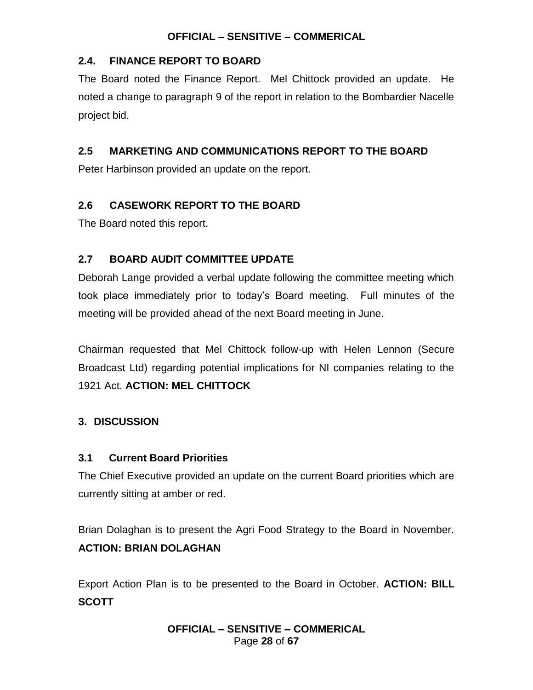### **2.4. FINANCE REPORT TO BOARD**

The Board noted the Finance Report. Mel Chittock provided an update. He noted a change to paragraph 9 of the report in relation to the Bombardier Nacelle project bid.

# **2.5 MARKETING AND COMMUNICATIONS REPORT TO THE BOARD**

Peter Harbinson provided an update on the report.

### **2.6 CASEWORK REPORT TO THE BOARD**

The Board noted this report.

# **2.7 BOARD AUDIT COMMITTEE UPDATE**

Deborah Lange provided a verbal update following the committee meeting which took place immediately prior to today's Board meeting. Full minutes of the meeting will be provided ahead of the next Board meeting in June.

Chairman requested that Mel Chittock follow-up with Helen Lennon (Secure Broadcast Ltd) regarding potential implications for NI companies relating to the 1921 Act. **ACTION: MEL CHITTOCK**

# **3. DISCUSSION**

# **3.1 Current Board Priorities**

The Chief Executive provided an update on the current Board priorities which are currently sitting at amber or red.

Brian Dolaghan is to present the Agri Food Strategy to the Board in November. **ACTION: BRIAN DOLAGHAN**

Export Action Plan is to be presented to the Board in October. **ACTION: BILL SCOTT**

### **OFFICIAL – SENSITIVE – COMMERICAL** Page **28** of **67**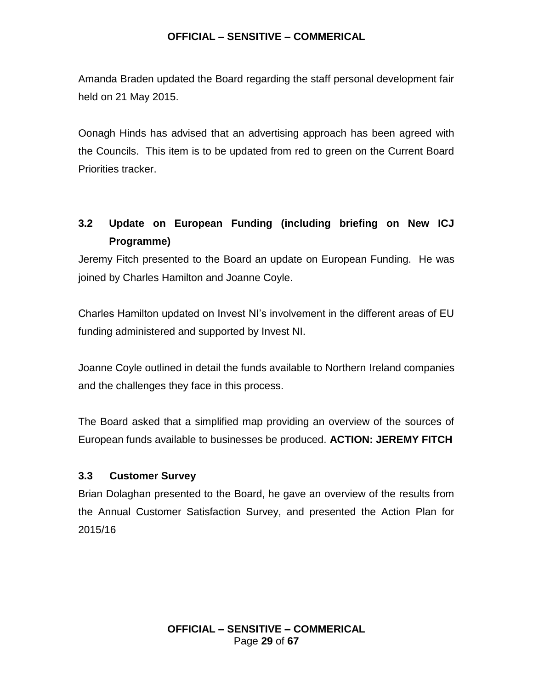Amanda Braden updated the Board regarding the staff personal development fair held on 21 May 2015.

Oonagh Hinds has advised that an advertising approach has been agreed with the Councils. This item is to be updated from red to green on the Current Board Priorities tracker.

# **3.2 Update on European Funding (including briefing on New ICJ Programme)**

Jeremy Fitch presented to the Board an update on European Funding. He was joined by Charles Hamilton and Joanne Coyle.

Charles Hamilton updated on Invest NI's involvement in the different areas of EU funding administered and supported by Invest NI.

Joanne Coyle outlined in detail the funds available to Northern Ireland companies and the challenges they face in this process.

The Board asked that a simplified map providing an overview of the sources of European funds available to businesses be produced. **ACTION: JEREMY FITCH**

# **3.3 Customer Survey**

Brian Dolaghan presented to the Board, he gave an overview of the results from the Annual Customer Satisfaction Survey, and presented the Action Plan for 2015/16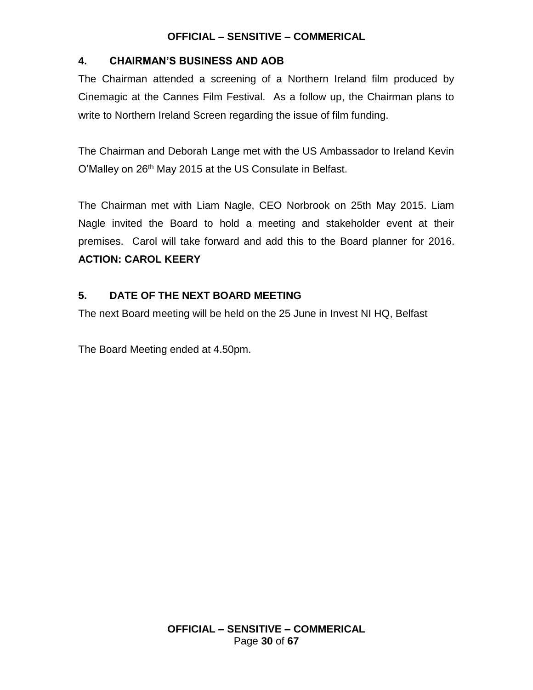# **4. CHAIRMAN'S BUSINESS AND AOB**

The Chairman attended a screening of a Northern Ireland film produced by Cinemagic at the Cannes Film Festival. As a follow up, the Chairman plans to write to Northern Ireland Screen regarding the issue of film funding.

The Chairman and Deborah Lange met with the US Ambassador to Ireland Kevin O'Malley on 26<sup>th</sup> May 2015 at the US Consulate in Belfast.

The Chairman met with Liam Nagle, CEO Norbrook on 25th May 2015. Liam Nagle invited the Board to hold a meeting and stakeholder event at their premises. Carol will take forward and add this to the Board planner for 2016. **ACTION: CAROL KEERY**

# **5. DATE OF THE NEXT BOARD MEETING**

The next Board meeting will be held on the 25 June in Invest NI HQ, Belfast

The Board Meeting ended at 4.50pm.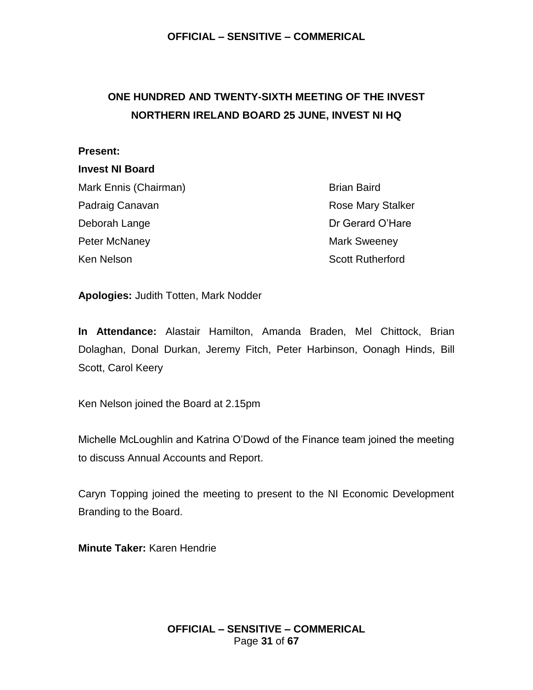# <span id="page-30-0"></span>**ONE HUNDRED AND TWENTY-SIXTH MEETING OF THE INVEST NORTHERN IRELAND BOARD 25 JUNE, INVEST NI HQ**

#### **Present:**

#### **Invest NI Board**

Mark Ennis (Chairman) Brian Baird Padraig Canavan **Rose Mary Stalker** Rose Mary Stalker Deborah Lange **Dr Gerard O'Hare** Peter McNaney **Mark Sweeney** Mark Sweeney

Ken Nelson Scott Rutherford Scott Rutherford

**Apologies:** Judith Totten, Mark Nodder

**In Attendance:** Alastair Hamilton, Amanda Braden, Mel Chittock, Brian Dolaghan, Donal Durkan, Jeremy Fitch, Peter Harbinson, Oonagh Hinds, Bill Scott, Carol Keery

Ken Nelson joined the Board at 2.15pm

Michelle McLoughlin and Katrina O'Dowd of the Finance team joined the meeting to discuss Annual Accounts and Report.

Caryn Topping joined the meeting to present to the NI Economic Development Branding to the Board.

**Minute Taker:** Karen Hendrie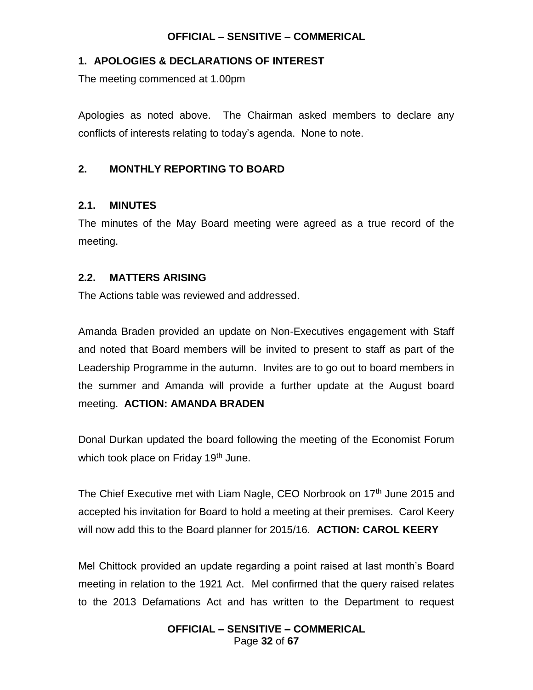### **1. APOLOGIES & DECLARATIONS OF INTEREST**

The meeting commenced at 1.00pm

Apologies as noted above. The Chairman asked members to declare any conflicts of interests relating to today's agenda. None to note.

### **2. MONTHLY REPORTING TO BOARD**

### **2.1. MINUTES**

The minutes of the May Board meeting were agreed as a true record of the meeting.

### **2.2. MATTERS ARISING**

The Actions table was reviewed and addressed.

Amanda Braden provided an update on Non-Executives engagement with Staff and noted that Board members will be invited to present to staff as part of the Leadership Programme in the autumn. Invites are to go out to board members in the summer and Amanda will provide a further update at the August board meeting. **ACTION: AMANDA BRADEN** 

Donal Durkan updated the board following the meeting of the Economist Forum which took place on Friday 19<sup>th</sup> June.

The Chief Executive met with Liam Nagle, CEO Norbrook on 17<sup>th</sup> June 2015 and accepted his invitation for Board to hold a meeting at their premises. Carol Keery will now add this to the Board planner for 2015/16. **ACTION: CAROL KEERY**

Mel Chittock provided an update regarding a point raised at last month's Board meeting in relation to the 1921 Act. Mel confirmed that the query raised relates to the 2013 Defamations Act and has written to the Department to request

#### **OFFICIAL – SENSITIVE – COMMERICAL** Page **32** of **67**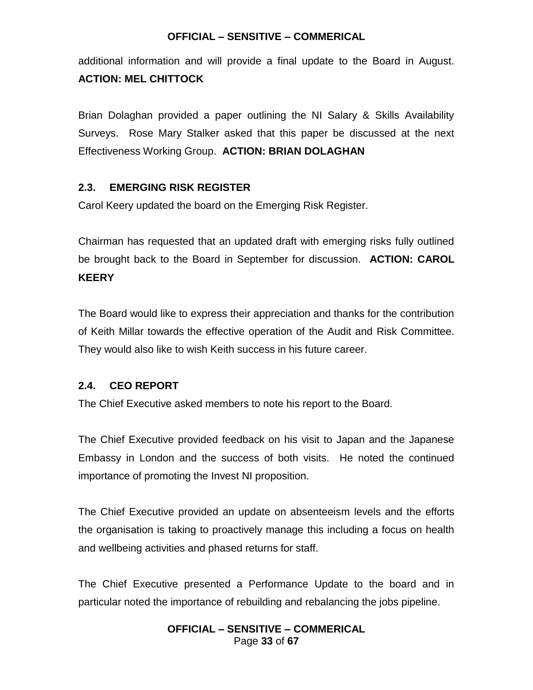additional information and will provide a final update to the Board in August. **ACTION: MEL CHITTOCK**

Brian Dolaghan provided a paper outlining the NI Salary & Skills Availability Surveys. Rose Mary Stalker asked that this paper be discussed at the next Effectiveness Working Group. **ACTION: BRIAN DOLAGHAN**

### **2.3. EMERGING RISK REGISTER**

Carol Keery updated the board on the Emerging Risk Register.

Chairman has requested that an updated draft with emerging risks fully outlined be brought back to the Board in September for discussion. **ACTION: CAROL KEERY**

The Board would like to express their appreciation and thanks for the contribution of Keith Millar towards the effective operation of the Audit and Risk Committee. They would also like to wish Keith success in his future career.

### **2.4. CEO REPORT**

The Chief Executive asked members to note his report to the Board.

The Chief Executive provided feedback on his visit to Japan and the Japanese Embassy in London and the success of both visits. He noted the continued importance of promoting the Invest NI proposition.

The Chief Executive provided an update on absenteeism levels and the efforts the organisation is taking to proactively manage this including a focus on health and wellbeing activities and phased returns for staff.

The Chief Executive presented a Performance Update to the board and in particular noted the importance of rebuilding and rebalancing the jobs pipeline.

### **OFFICIAL – SENSITIVE – COMMERICAL** Page **33** of **67**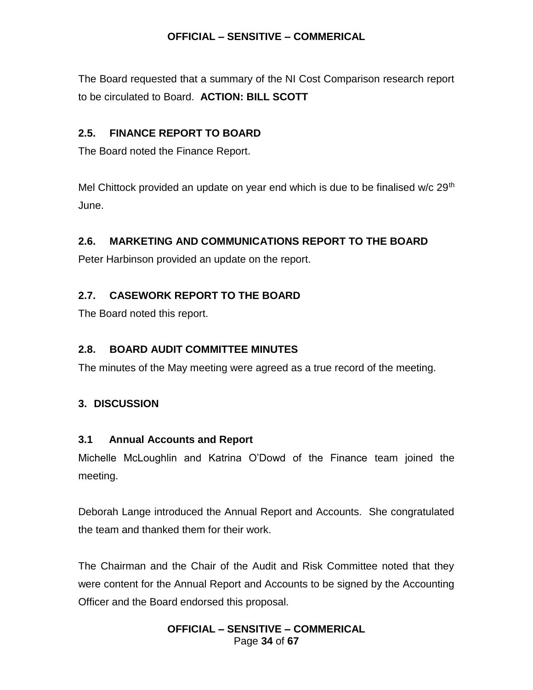The Board requested that a summary of the NI Cost Comparison research report to be circulated to Board. **ACTION: BILL SCOTT**

# **2.5. FINANCE REPORT TO BOARD**

The Board noted the Finance Report.

Mel Chittock provided an update on year end which is due to be finalised w/c  $29<sup>th</sup>$ June.

# **2.6. MARKETING AND COMMUNICATIONS REPORT TO THE BOARD**

Peter Harbinson provided an update on the report.

# **2.7. CASEWORK REPORT TO THE BOARD**

The Board noted this report.

# **2.8. BOARD AUDIT COMMITTEE MINUTES**

The minutes of the May meeting were agreed as a true record of the meeting.

# **3. DISCUSSION**

# **3.1 Annual Accounts and Report**

Michelle McLoughlin and Katrina O'Dowd of the Finance team joined the meeting.

Deborah Lange introduced the Annual Report and Accounts. She congratulated the team and thanked them for their work.

The Chairman and the Chair of the Audit and Risk Committee noted that they were content for the Annual Report and Accounts to be signed by the Accounting Officer and the Board endorsed this proposal.

### **OFFICIAL – SENSITIVE – COMMERICAL** Page **34** of **67**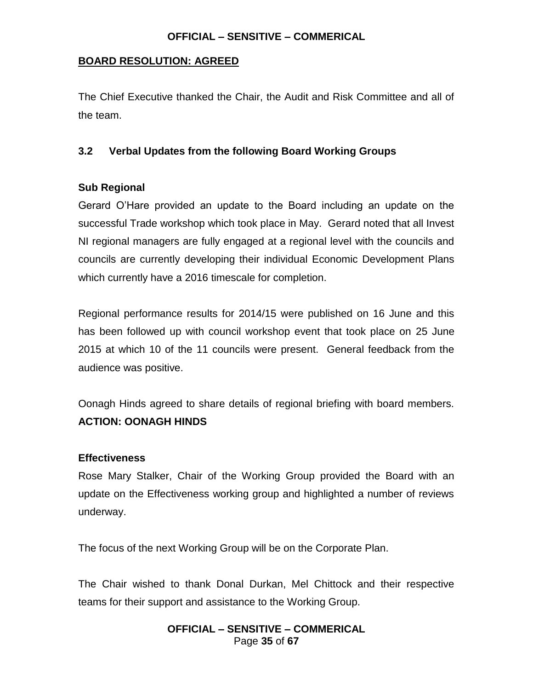### **BOARD RESOLUTION: AGREED**

The Chief Executive thanked the Chair, the Audit and Risk Committee and all of the team.

### **3.2 Verbal Updates from the following Board Working Groups**

### **Sub Regional**

Gerard O'Hare provided an update to the Board including an update on the successful Trade workshop which took place in May. Gerard noted that all Invest NI regional managers are fully engaged at a regional level with the councils and councils are currently developing their individual Economic Development Plans which currently have a 2016 timescale for completion.

Regional performance results for 2014/15 were published on 16 June and this has been followed up with council workshop event that took place on 25 June 2015 at which 10 of the 11 councils were present. General feedback from the audience was positive.

Oonagh Hinds agreed to share details of regional briefing with board members. **ACTION: OONAGH HINDS**

### **Effectiveness**

Rose Mary Stalker, Chair of the Working Group provided the Board with an update on the Effectiveness working group and highlighted a number of reviews underway.

The focus of the next Working Group will be on the Corporate Plan.

The Chair wished to thank Donal Durkan, Mel Chittock and their respective teams for their support and assistance to the Working Group.

### **OFFICIAL – SENSITIVE – COMMERICAL** Page **35** of **67**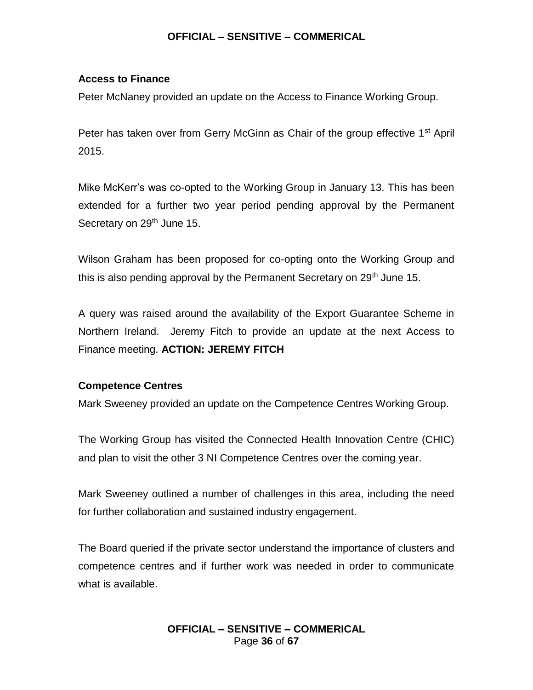#### **Access to Finance**

Peter McNaney provided an update on the Access to Finance Working Group.

Peter has taken over from Gerry McGinn as Chair of the group effective  $1<sup>st</sup>$  April 2015.

Mike McKerr's was co-opted to the Working Group in January 13. This has been extended for a further two year period pending approval by the Permanent Secretary on 29<sup>th</sup> June 15.

Wilson Graham has been proposed for co-opting onto the Working Group and this is also pending approval by the Permanent Secretary on 29<sup>th</sup> June 15.

A query was raised around the availability of the Export Guarantee Scheme in Northern Ireland. Jeremy Fitch to provide an update at the next Access to Finance meeting. **ACTION: JEREMY FITCH**

### **Competence Centres**

Mark Sweeney provided an update on the Competence Centres Working Group.

The Working Group has visited the Connected Health Innovation Centre (CHIC) and plan to visit the other 3 NI Competence Centres over the coming year.

Mark Sweeney outlined a number of challenges in this area, including the need for further collaboration and sustained industry engagement.

The Board queried if the private sector understand the importance of clusters and competence centres and if further work was needed in order to communicate what is available.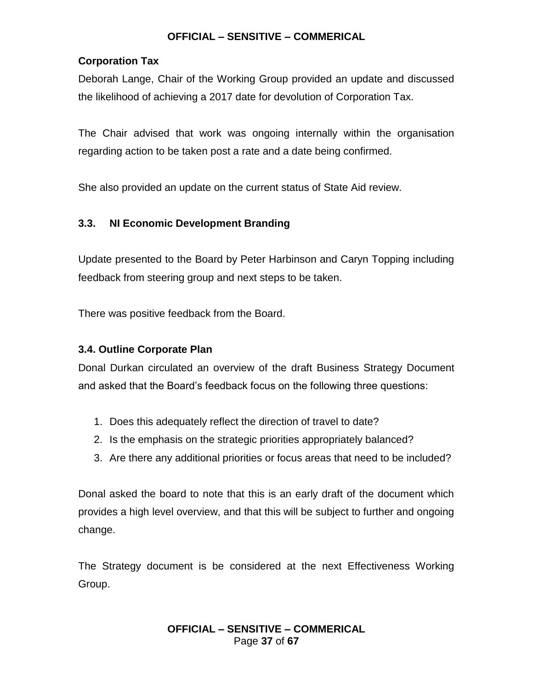### **Corporation Tax**

Deborah Lange, Chair of the Working Group provided an update and discussed the likelihood of achieving a 2017 date for devolution of Corporation Tax.

The Chair advised that work was ongoing internally within the organisation regarding action to be taken post a rate and a date being confirmed.

She also provided an update on the current status of State Aid review.

### **3.3. NI Economic Development Branding**

Update presented to the Board by Peter Harbinson and Caryn Topping including feedback from steering group and next steps to be taken.

There was positive feedback from the Board.

### **3.4. Outline Corporate Plan**

Donal Durkan circulated an overview of the draft Business Strategy Document and asked that the Board's feedback focus on the following three questions:

- 1. Does this adequately reflect the direction of travel to date?
- 2. Is the emphasis on the strategic priorities appropriately balanced?
- 3. Are there any additional priorities or focus areas that need to be included?

Donal asked the board to note that this is an early draft of the document which provides a high level overview, and that this will be subject to further and ongoing change.

The Strategy document is be considered at the next Effectiveness Working Group.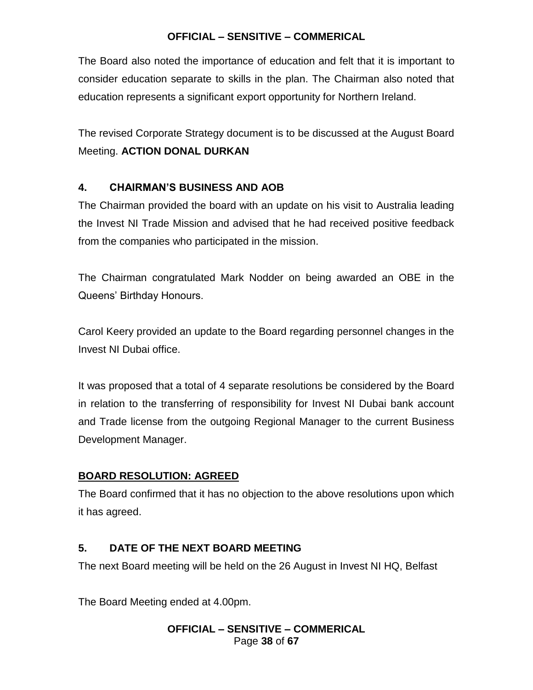The Board also noted the importance of education and felt that it is important to consider education separate to skills in the plan. The Chairman also noted that education represents a significant export opportunity for Northern Ireland.

The revised Corporate Strategy document is to be discussed at the August Board Meeting. **ACTION DONAL DURKAN**

# **4. CHAIRMAN'S BUSINESS AND AOB**

The Chairman provided the board with an update on his visit to Australia leading the Invest NI Trade Mission and advised that he had received positive feedback from the companies who participated in the mission.

The Chairman congratulated Mark Nodder on being awarded an OBE in the Queens' Birthday Honours.

Carol Keery provided an update to the Board regarding personnel changes in the Invest NI Dubai office.

It was proposed that a total of 4 separate resolutions be considered by the Board in relation to the transferring of responsibility for Invest NI Dubai bank account and Trade license from the outgoing Regional Manager to the current Business Development Manager.

# **BOARD RESOLUTION: AGREED**

The Board confirmed that it has no objection to the above resolutions upon which it has agreed.

# **5. DATE OF THE NEXT BOARD MEETING**

The next Board meeting will be held on the 26 August in Invest NI HQ, Belfast

The Board Meeting ended at 4.00pm.

### **OFFICIAL – SENSITIVE – COMMERICAL** Page **38** of **67**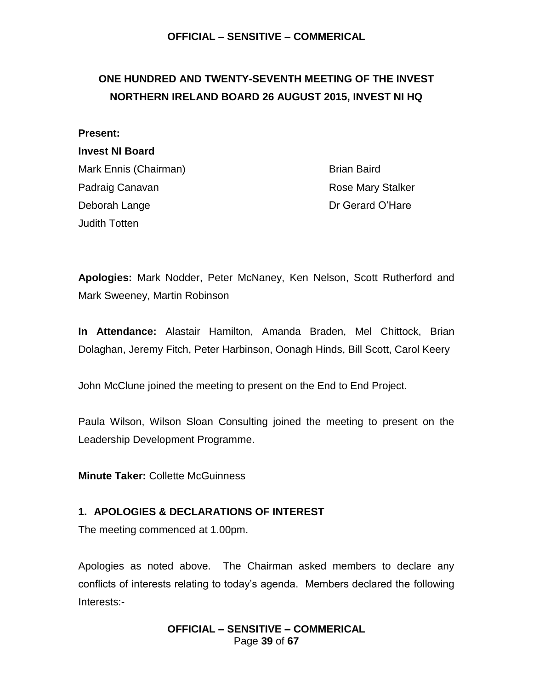# <span id="page-38-0"></span>**ONE HUNDRED AND TWENTY-SEVENTH MEETING OF THE INVEST NORTHERN IRELAND BOARD 26 AUGUST 2015, INVEST NI HQ**

#### **Present:**

#### **Invest NI Board**

Mark Ennis (Chairman) Brian Baird Padraig Canavan **Rose Mary Stalker** Rose Mary Stalker Deborah Lange Deborah Lange Dr Gerard O'Hare Judith Totten

**Apologies:** Mark Nodder, Peter McNaney, Ken Nelson, Scott Rutherford and Mark Sweeney, Martin Robinson

**In Attendance:** Alastair Hamilton, Amanda Braden, Mel Chittock, Brian Dolaghan, Jeremy Fitch, Peter Harbinson, Oonagh Hinds, Bill Scott, Carol Keery

John McClune joined the meeting to present on the End to End Project.

Paula Wilson, Wilson Sloan Consulting joined the meeting to present on the Leadership Development Programme.

**Minute Taker:** Collette McGuinness

### **1. APOLOGIES & DECLARATIONS OF INTEREST**

The meeting commenced at 1.00pm.

Apologies as noted above. The Chairman asked members to declare any conflicts of interests relating to today's agenda. Members declared the following Interests:-

> **OFFICIAL – SENSITIVE – COMMERICAL** Page **39** of **67**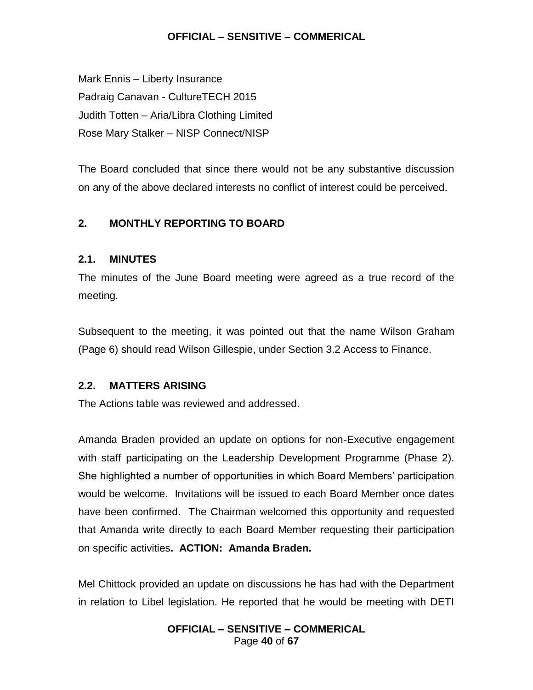Mark Ennis – Liberty Insurance Padraig Canavan - CultureTECH 2015 Judith Totten – Aria/Libra Clothing Limited Rose Mary Stalker – NISP Connect/NISP

The Board concluded that since there would not be any substantive discussion on any of the above declared interests no conflict of interest could be perceived.

# **2. MONTHLY REPORTING TO BOARD**

### **2.1. MINUTES**

The minutes of the June Board meeting were agreed as a true record of the meeting.

Subsequent to the meeting, it was pointed out that the name Wilson Graham (Page 6) should read Wilson Gillespie, under Section 3.2 Access to Finance.

### **2.2. MATTERS ARISING**

The Actions table was reviewed and addressed.

Amanda Braden provided an update on options for non-Executive engagement with staff participating on the Leadership Development Programme (Phase 2). She highlighted a number of opportunities in which Board Members' participation would be welcome. Invitations will be issued to each Board Member once dates have been confirmed. The Chairman welcomed this opportunity and requested that Amanda write directly to each Board Member requesting their participation on specific activities**. ACTION: Amanda Braden.**

Mel Chittock provided an update on discussions he has had with the Department in relation to Libel legislation. He reported that he would be meeting with DETI

### **OFFICIAL – SENSITIVE – COMMERICAL** Page **40** of **67**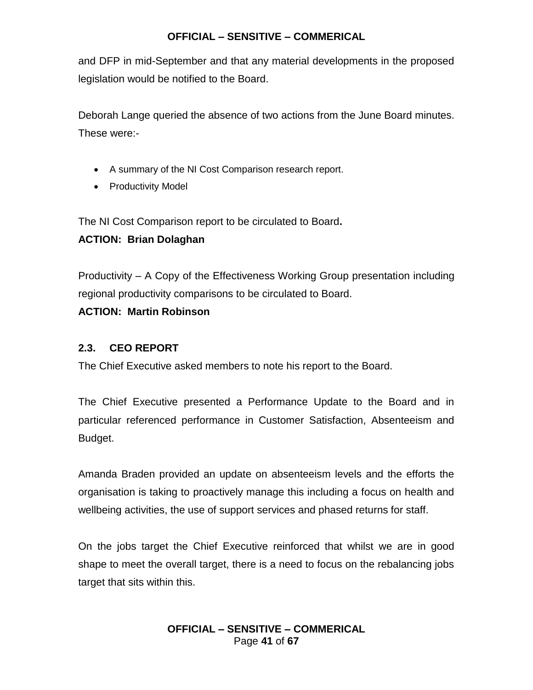and DFP in mid-September and that any material developments in the proposed legislation would be notified to the Board.

Deborah Lange queried the absence of two actions from the June Board minutes. These were:-

- A summary of the NI Cost Comparison research report.
- Productivity Model

The NI Cost Comparison report to be circulated to Board**.** 

# **ACTION: Brian Dolaghan**

Productivity – A Copy of the Effectiveness Working Group presentation including regional productivity comparisons to be circulated to Board.

### **ACTION: Martin Robinson**

### **2.3. CEO REPORT**

The Chief Executive asked members to note his report to the Board.

The Chief Executive presented a Performance Update to the Board and in particular referenced performance in Customer Satisfaction, Absenteeism and Budget.

Amanda Braden provided an update on absenteeism levels and the efforts the organisation is taking to proactively manage this including a focus on health and wellbeing activities, the use of support services and phased returns for staff.

On the jobs target the Chief Executive reinforced that whilst we are in good shape to meet the overall target, there is a need to focus on the rebalancing jobs target that sits within this.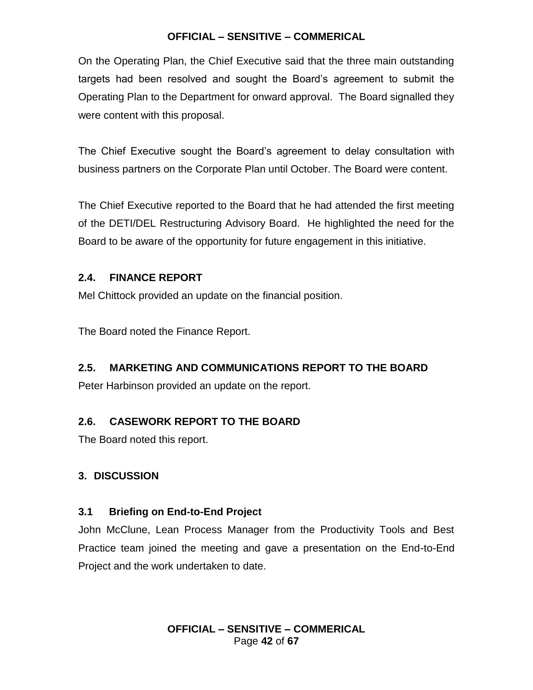On the Operating Plan, the Chief Executive said that the three main outstanding targets had been resolved and sought the Board's agreement to submit the Operating Plan to the Department for onward approval. The Board signalled they were content with this proposal.

The Chief Executive sought the Board's agreement to delay consultation with business partners on the Corporate Plan until October. The Board were content.

The Chief Executive reported to the Board that he had attended the first meeting of the DETI/DEL Restructuring Advisory Board. He highlighted the need for the Board to be aware of the opportunity for future engagement in this initiative.

# **2.4. FINANCE REPORT**

Mel Chittock provided an update on the financial position.

The Board noted the Finance Report.

# **2.5. MARKETING AND COMMUNICATIONS REPORT TO THE BOARD**

Peter Harbinson provided an update on the report.

# **2.6. CASEWORK REPORT TO THE BOARD**

The Board noted this report.

# **3. DISCUSSION**

# **3.1 Briefing on End-to-End Project**

John McClune, Lean Process Manager from the Productivity Tools and Best Practice team joined the meeting and gave a presentation on the End-to-End Project and the work undertaken to date.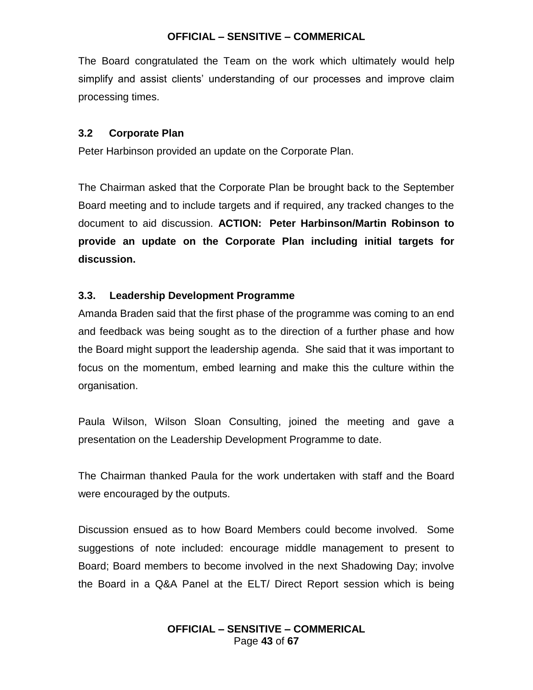The Board congratulated the Team on the work which ultimately would help simplify and assist clients' understanding of our processes and improve claim processing times.

### **3.2 Corporate Plan**

Peter Harbinson provided an update on the Corporate Plan.

The Chairman asked that the Corporate Plan be brought back to the September Board meeting and to include targets and if required, any tracked changes to the document to aid discussion. **ACTION: Peter Harbinson/Martin Robinson to provide an update on the Corporate Plan including initial targets for discussion.**

### **3.3. Leadership Development Programme**

Amanda Braden said that the first phase of the programme was coming to an end and feedback was being sought as to the direction of a further phase and how the Board might support the leadership agenda. She said that it was important to focus on the momentum, embed learning and make this the culture within the organisation.

Paula Wilson, Wilson Sloan Consulting, joined the meeting and gave a presentation on the Leadership Development Programme to date.

The Chairman thanked Paula for the work undertaken with staff and the Board were encouraged by the outputs.

Discussion ensued as to how Board Members could become involved. Some suggestions of note included: encourage middle management to present to Board; Board members to become involved in the next Shadowing Day; involve the Board in a Q&A Panel at the ELT/ Direct Report session which is being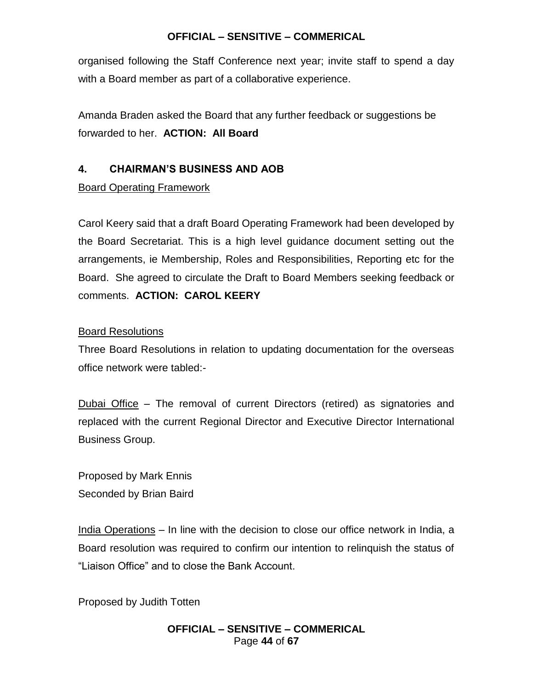organised following the Staff Conference next year; invite staff to spend a day with a Board member as part of a collaborative experience.

Amanda Braden asked the Board that any further feedback or suggestions be forwarded to her. **ACTION: All Board**

# **4. CHAIRMAN'S BUSINESS AND AOB**

### Board Operating Framework

Carol Keery said that a draft Board Operating Framework had been developed by the Board Secretariat. This is a high level guidance document setting out the arrangements, ie Membership, Roles and Responsibilities, Reporting etc for the Board. She agreed to circulate the Draft to Board Members seeking feedback or comments. **ACTION: CAROL KEERY**

### Board Resolutions

Three Board Resolutions in relation to updating documentation for the overseas office network were tabled:-

Dubai Office – The removal of current Directors (retired) as signatories and replaced with the current Regional Director and Executive Director International Business Group.

Proposed by Mark Ennis Seconded by Brian Baird

India Operations – In line with the decision to close our office network in India, a Board resolution was required to confirm our intention to relinquish the status of "Liaison Office" and to close the Bank Account.

Proposed by Judith Totten

### **OFFICIAL – SENSITIVE – COMMERICAL** Page **44** of **67**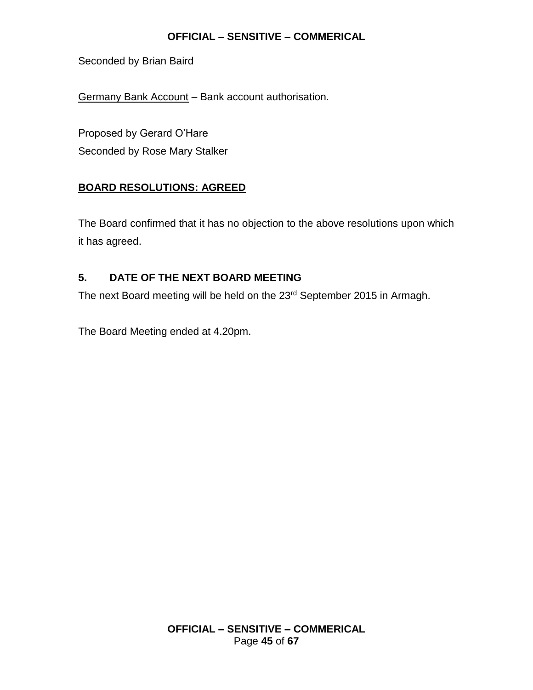Seconded by Brian Baird

Germany Bank Account – Bank account authorisation.

Proposed by Gerard O'Hare Seconded by Rose Mary Stalker

# **BOARD RESOLUTIONS: AGREED**

The Board confirmed that it has no objection to the above resolutions upon which it has agreed.

# **5. DATE OF THE NEXT BOARD MEETING**

The next Board meeting will be held on the 23<sup>rd</sup> September 2015 in Armagh.

The Board Meeting ended at 4.20pm.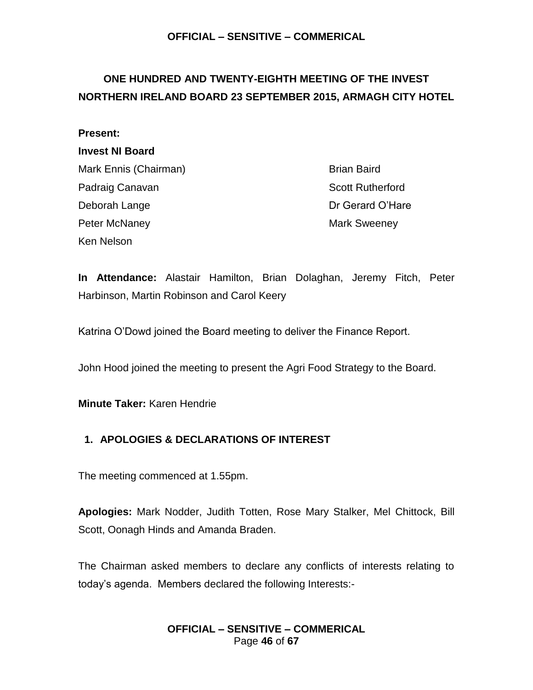# <span id="page-45-0"></span>**ONE HUNDRED AND TWENTY-EIGHTH MEETING OF THE INVEST NORTHERN IRELAND BOARD 23 SEPTEMBER 2015, ARMAGH CITY HOTEL**

### **Present:**

#### **Invest NI Board**

Mark Ennis (Chairman) Brian Baird Padraig Canavan **Scott Rutherford Scott Rutherford** Deborah Lange Deborah Dr Gerard O'Hare Peter McNaney **Mark Sweeney** Mark Sweeney Ken Nelson

**In Attendance:** Alastair Hamilton, Brian Dolaghan, Jeremy Fitch, Peter Harbinson, Martin Robinson and Carol Keery

Katrina O'Dowd joined the Board meeting to deliver the Finance Report.

John Hood joined the meeting to present the Agri Food Strategy to the Board.

**Minute Taker:** Karen Hendrie

# **1. APOLOGIES & DECLARATIONS OF INTEREST**

The meeting commenced at 1.55pm.

**Apologies:** Mark Nodder, Judith Totten, Rose Mary Stalker, Mel Chittock, Bill Scott, Oonagh Hinds and Amanda Braden.

The Chairman asked members to declare any conflicts of interests relating to today's agenda. Members declared the following Interests:-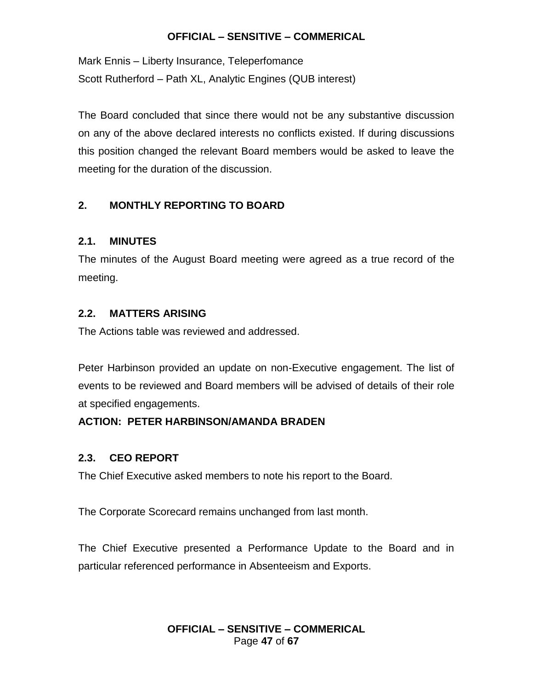Mark Ennis – Liberty Insurance, Teleperfomance Scott Rutherford – Path XL, Analytic Engines (QUB interest)

The Board concluded that since there would not be any substantive discussion on any of the above declared interests no conflicts existed. If during discussions this position changed the relevant Board members would be asked to leave the meeting for the duration of the discussion.

# **2. MONTHLY REPORTING TO BOARD**

### **2.1. MINUTES**

The minutes of the August Board meeting were agreed as a true record of the meeting.

### **2.2. MATTERS ARISING**

The Actions table was reviewed and addressed.

Peter Harbinson provided an update on non-Executive engagement. The list of events to be reviewed and Board members will be advised of details of their role at specified engagements.

# **ACTION: PETER HARBINSON/AMANDA BRADEN**

### **2.3. CEO REPORT**

The Chief Executive asked members to note his report to the Board.

The Corporate Scorecard remains unchanged from last month.

The Chief Executive presented a Performance Update to the Board and in particular referenced performance in Absenteeism and Exports.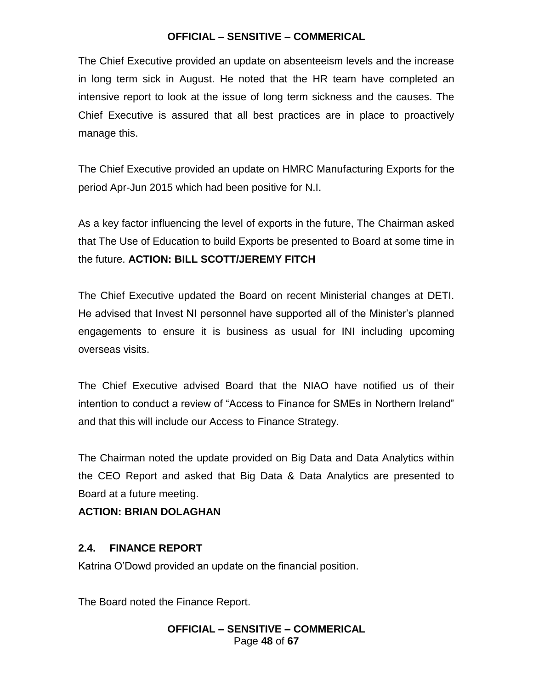The Chief Executive provided an update on absenteeism levels and the increase in long term sick in August. He noted that the HR team have completed an intensive report to look at the issue of long term sickness and the causes. The Chief Executive is assured that all best practices are in place to proactively manage this.

The Chief Executive provided an update on HMRC Manufacturing Exports for the period Apr-Jun 2015 which had been positive for N.I.

As a key factor influencing the level of exports in the future, The Chairman asked that The Use of Education to build Exports be presented to Board at some time in the future. **ACTION: BILL SCOTT/JEREMY FITCH**

The Chief Executive updated the Board on recent Ministerial changes at DETI. He advised that Invest NI personnel have supported all of the Minister's planned engagements to ensure it is business as usual for INI including upcoming overseas visits.

The Chief Executive advised Board that the NIAO have notified us of their intention to conduct a review of "Access to Finance for SMEs in Northern Ireland" and that this will include our Access to Finance Strategy.

The Chairman noted the update provided on Big Data and Data Analytics within the CEO Report and asked that Big Data & Data Analytics are presented to Board at a future meeting.

# **ACTION: BRIAN DOLAGHAN**

### **2.4. FINANCE REPORT**

Katrina O'Dowd provided an update on the financial position.

The Board noted the Finance Report.

### **OFFICIAL – SENSITIVE – COMMERICAL** Page **48** of **67**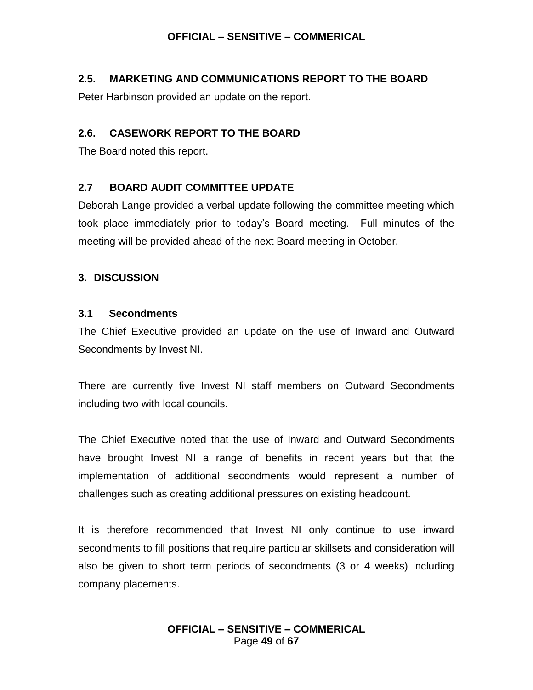### **2.5. MARKETING AND COMMUNICATIONS REPORT TO THE BOARD**

Peter Harbinson provided an update on the report.

### **2.6. CASEWORK REPORT TO THE BOARD**

The Board noted this report.

### **2.7 BOARD AUDIT COMMITTEE UPDATE**

Deborah Lange provided a verbal update following the committee meeting which took place immediately prior to today's Board meeting. Full minutes of the meeting will be provided ahead of the next Board meeting in October.

### **3. DISCUSSION**

### **3.1 Secondments**

The Chief Executive provided an update on the use of Inward and Outward Secondments by Invest NI.

There are currently five Invest NI staff members on Outward Secondments including two with local councils.

The Chief Executive noted that the use of Inward and Outward Secondments have brought Invest NI a range of benefits in recent years but that the implementation of additional secondments would represent a number of challenges such as creating additional pressures on existing headcount.

It is therefore recommended that Invest NI only continue to use inward secondments to fill positions that require particular skillsets and consideration will also be given to short term periods of secondments (3 or 4 weeks) including company placements.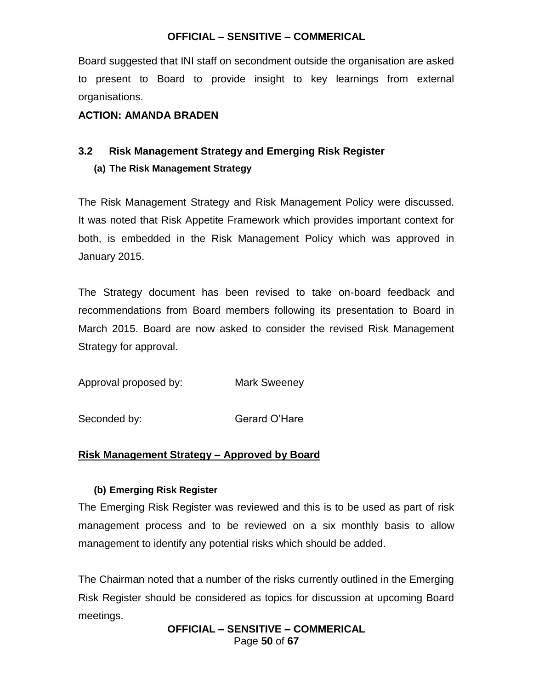Board suggested that INI staff on secondment outside the organisation are asked to present to Board to provide insight to key learnings from external organisations.

### **ACTION: AMANDA BRADEN**

# **3.2 Risk Management Strategy and Emerging Risk Register**

### **(a) The Risk Management Strategy**

The Risk Management Strategy and Risk Management Policy were discussed. It was noted that Risk Appetite Framework which provides important context for both, is embedded in the Risk Management Policy which was approved in January 2015.

The Strategy document has been revised to take on-board feedback and recommendations from Board members following its presentation to Board in March 2015. Board are now asked to consider the revised Risk Management Strategy for approval.

Approval proposed by: Mark Sweeney

Seconded by: Gerard O'Hare

### **Risk Management Strategy – Approved by Board**

### **(b) Emerging Risk Register**

The Emerging Risk Register was reviewed and this is to be used as part of risk management process and to be reviewed on a six monthly basis to allow management to identify any potential risks which should be added.

The Chairman noted that a number of the risks currently outlined in the Emerging Risk Register should be considered as topics for discussion at upcoming Board meetings.

> **OFFICIAL – SENSITIVE – COMMERICAL** Page **50** of **67**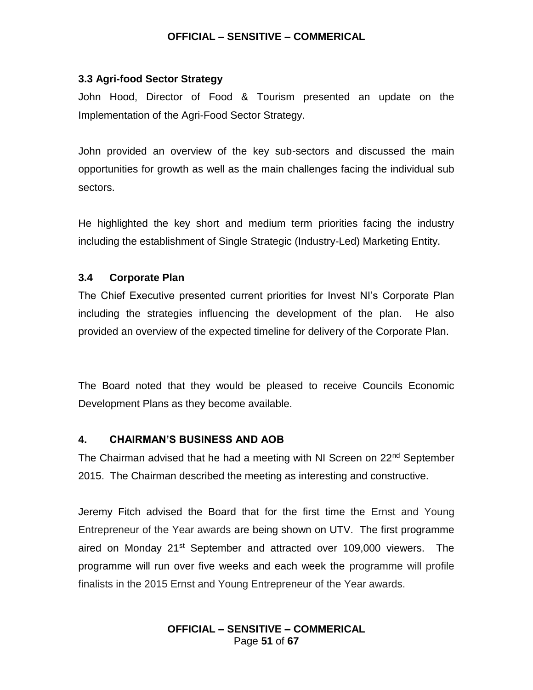#### **3.3 Agri-food Sector Strategy**

John Hood, Director of Food & Tourism presented an update on the Implementation of the Agri-Food Sector Strategy.

John provided an overview of the key sub-sectors and discussed the main opportunities for growth as well as the main challenges facing the individual sub sectors.

He highlighted the key short and medium term priorities facing the industry including the establishment of Single Strategic (Industry-Led) Marketing Entity.

### **3.4 Corporate Plan**

The Chief Executive presented current priorities for Invest NI's Corporate Plan including the strategies influencing the development of the plan. He also provided an overview of the expected timeline for delivery of the Corporate Plan.

The Board noted that they would be pleased to receive Councils Economic Development Plans as they become available.

#### **4. CHAIRMAN'S BUSINESS AND AOB**

The Chairman advised that he had a meeting with NI Screen on 22<sup>nd</sup> September 2015. The Chairman described the meeting as interesting and constructive.

Jeremy Fitch advised the Board that for the first time the Ernst and Young Entrepreneur of the Year awards are being shown on UTV. The first programme aired on Monday 21<sup>st</sup> September and attracted over 109,000 viewers. The programme will run over five weeks and each week the programme will profile finalists in the 2015 Ernst and Young Entrepreneur of the Year awards.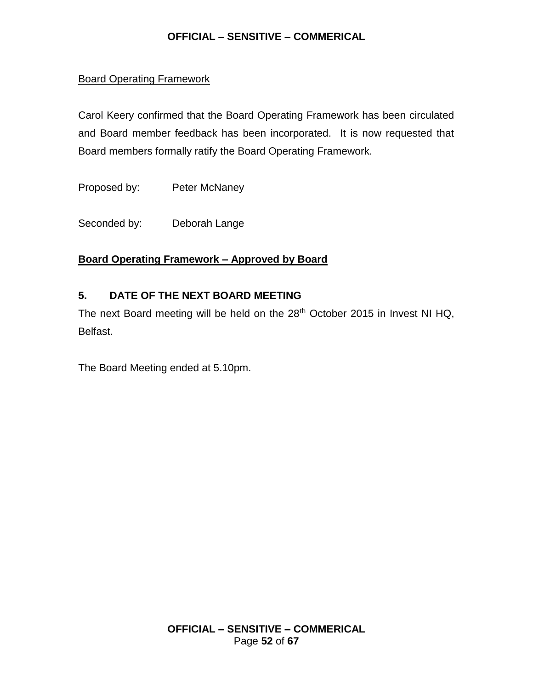### Board Operating Framework

Carol Keery confirmed that the Board Operating Framework has been circulated and Board member feedback has been incorporated. It is now requested that Board members formally ratify the Board Operating Framework.

Proposed by: Peter McNaney

Seconded by: Deborah Lange

### **Board Operating Framework – Approved by Board**

### **5. DATE OF THE NEXT BOARD MEETING**

The next Board meeting will be held on the  $28<sup>th</sup>$  October 2015 in Invest NI HQ, Belfast.

The Board Meeting ended at 5.10pm.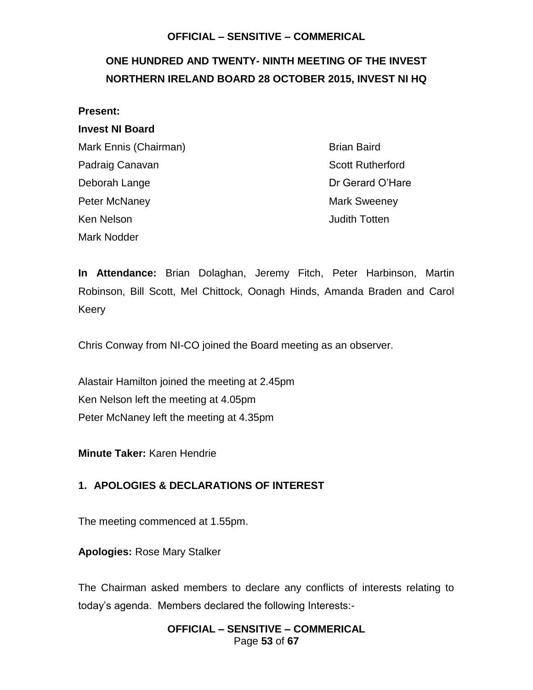# <span id="page-52-0"></span>**ONE HUNDRED AND TWENTY- NINTH MEETING OF THE INVEST NORTHERN IRELAND BOARD 28 OCTOBER 2015, INVEST NI HQ**

#### **Present:**

#### **Invest NI Board**

Mark Ennis (Chairman) Brian Baird Padraig Canavan **Scott Rutherford Scott Rutherford** Deborah Lange **Dr Gerard O'Hare** Peter McNaney **Mark Sweeney** Mark Sweeney Ken Nelson **Matter Strutter and Totten** Judith Totten Mark Nodder

**In Attendance:** Brian Dolaghan, Jeremy Fitch, Peter Harbinson, Martin Robinson, Bill Scott, Mel Chittock, Oonagh Hinds, Amanda Braden and Carol Keery

Chris Conway from NI-CO joined the Board meeting as an observer.

Alastair Hamilton joined the meeting at 2.45pm Ken Nelson left the meeting at 4.05pm Peter McNaney left the meeting at 4.35pm

**Minute Taker:** Karen Hendrie

### **1. APOLOGIES & DECLARATIONS OF INTEREST**

The meeting commenced at 1.55pm.

**Apologies:** Rose Mary Stalker

The Chairman asked members to declare any conflicts of interests relating to today's agenda. Members declared the following Interests:-

### **OFFICIAL – SENSITIVE – COMMERICAL** Page **53** of **67**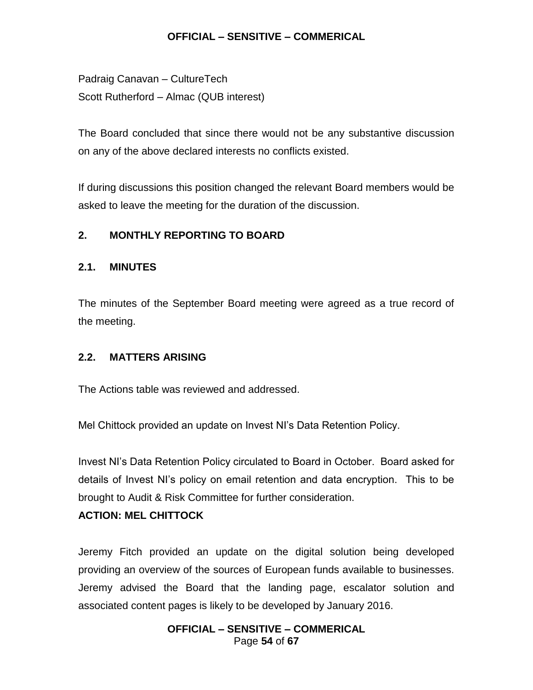Padraig Canavan – CultureTech Scott Rutherford – Almac (QUB interest)

The Board concluded that since there would not be any substantive discussion on any of the above declared interests no conflicts existed.

If during discussions this position changed the relevant Board members would be asked to leave the meeting for the duration of the discussion.

### **2. MONTHLY REPORTING TO BOARD**

### **2.1. MINUTES**

The minutes of the September Board meeting were agreed as a true record of the meeting.

### **2.2. MATTERS ARISING**

The Actions table was reviewed and addressed.

Mel Chittock provided an update on Invest NI's Data Retention Policy.

Invest NI's Data Retention Policy circulated to Board in October. Board asked for details of Invest NI's policy on email retention and data encryption. This to be brought to Audit & Risk Committee for further consideration.

### **ACTION: MEL CHITTOCK**

Jeremy Fitch provided an update on the digital solution being developed providing an overview of the sources of European funds available to businesses. Jeremy advised the Board that the landing page, escalator solution and associated content pages is likely to be developed by January 2016.

#### **OFFICIAL – SENSITIVE – COMMERICAL** Page **54** of **67**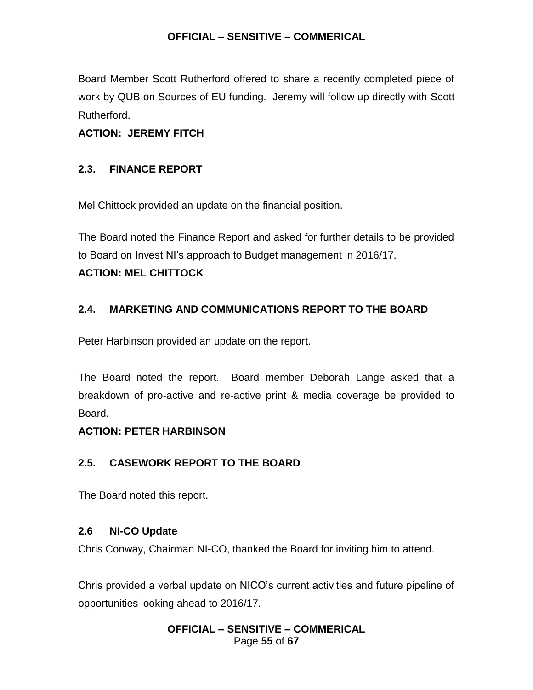Board Member Scott Rutherford offered to share a recently completed piece of work by QUB on Sources of EU funding. Jeremy will follow up directly with Scott Rutherford.

# **ACTION: JEREMY FITCH**

# **2.3. FINANCE REPORT**

Mel Chittock provided an update on the financial position.

The Board noted the Finance Report and asked for further details to be provided to Board on Invest NI's approach to Budget management in 2016/17.

# **ACTION: MEL CHITTOCK**

# **2.4. MARKETING AND COMMUNICATIONS REPORT TO THE BOARD**

Peter Harbinson provided an update on the report.

The Board noted the report. Board member Deborah Lange asked that a breakdown of pro-active and re-active print & media coverage be provided to Board.

# **ACTION: PETER HARBINSON**

# **2.5. CASEWORK REPORT TO THE BOARD**

The Board noted this report.

# **2.6 NI-CO Update**

Chris Conway, Chairman NI-CO, thanked the Board for inviting him to attend.

Chris provided a verbal update on NICO's current activities and future pipeline of opportunities looking ahead to 2016/17.

### **OFFICIAL – SENSITIVE – COMMERICAL** Page **55** of **67**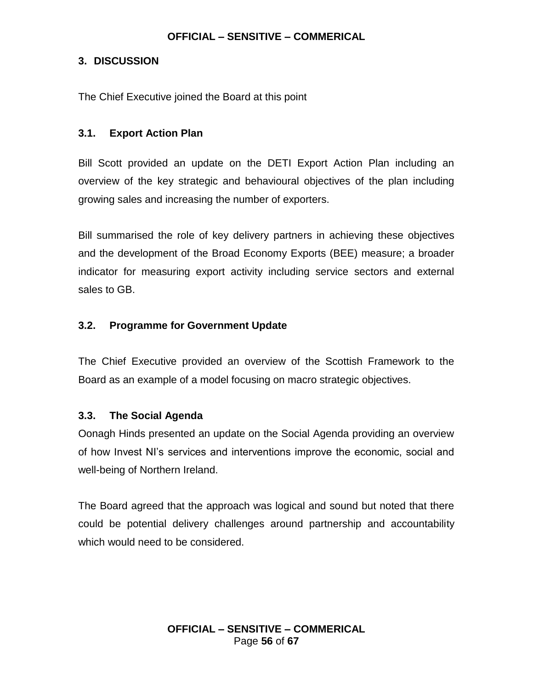### **3. DISCUSSION**

The Chief Executive joined the Board at this point

### **3.1. Export Action Plan**

Bill Scott provided an update on the DETI Export Action Plan including an overview of the key strategic and behavioural objectives of the plan including growing sales and increasing the number of exporters.

Bill summarised the role of key delivery partners in achieving these objectives and the development of the Broad Economy Exports (BEE) measure; a broader indicator for measuring export activity including service sectors and external sales to GB.

### **3.2. Programme for Government Update**

The Chief Executive provided an overview of the Scottish Framework to the Board as an example of a model focusing on macro strategic objectives.

### **3.3. The Social Agenda**

Oonagh Hinds presented an update on the Social Agenda providing an overview of how Invest NI's services and interventions improve the economic, social and well-being of Northern Ireland.

The Board agreed that the approach was logical and sound but noted that there could be potential delivery challenges around partnership and accountability which would need to be considered.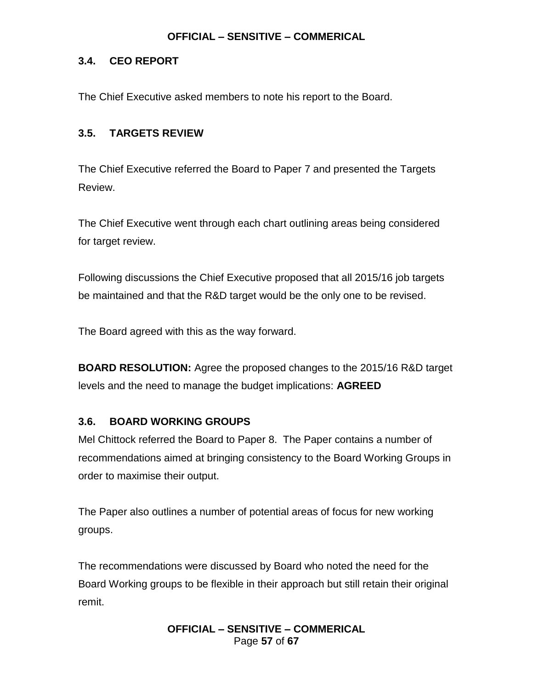### **3.4. CEO REPORT**

The Chief Executive asked members to note his report to the Board.

# **3.5. TARGETS REVIEW**

The Chief Executive referred the Board to Paper 7 and presented the Targets Review.

The Chief Executive went through each chart outlining areas being considered for target review.

Following discussions the Chief Executive proposed that all 2015/16 job targets be maintained and that the R&D target would be the only one to be revised.

The Board agreed with this as the way forward.

**BOARD RESOLUTION:** Agree the proposed changes to the 2015/16 R&D target levels and the need to manage the budget implications: **AGREED**

# **3.6. BOARD WORKING GROUPS**

Mel Chittock referred the Board to Paper 8. The Paper contains a number of recommendations aimed at bringing consistency to the Board Working Groups in order to maximise their output.

The Paper also outlines a number of potential areas of focus for new working groups.

The recommendations were discussed by Board who noted the need for the Board Working groups to be flexible in their approach but still retain their original remit.

> **OFFICIAL – SENSITIVE – COMMERICAL** Page **57** of **67**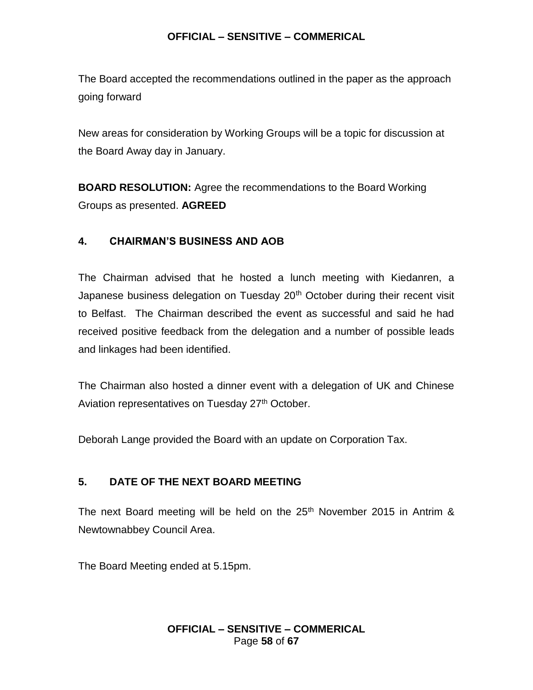The Board accepted the recommendations outlined in the paper as the approach going forward

New areas for consideration by Working Groups will be a topic for discussion at the Board Away day in January.

**BOARD RESOLUTION:** Agree the recommendations to the Board Working Groups as presented. **AGREED**

### **4. CHAIRMAN'S BUSINESS AND AOB**

The Chairman advised that he hosted a lunch meeting with Kiedanren, a Japanese business delegation on Tuesday 20<sup>th</sup> October during their recent visit to Belfast. The Chairman described the event as successful and said he had received positive feedback from the delegation and a number of possible leads and linkages had been identified.

The Chairman also hosted a dinner event with a delegation of UK and Chinese Aviation representatives on Tuesday 27<sup>th</sup> October.

Deborah Lange provided the Board with an update on Corporation Tax.

# **5. DATE OF THE NEXT BOARD MEETING**

The next Board meeting will be held on the  $25<sup>th</sup>$  November 2015 in Antrim & Newtownabbey Council Area.

The Board Meeting ended at 5.15pm.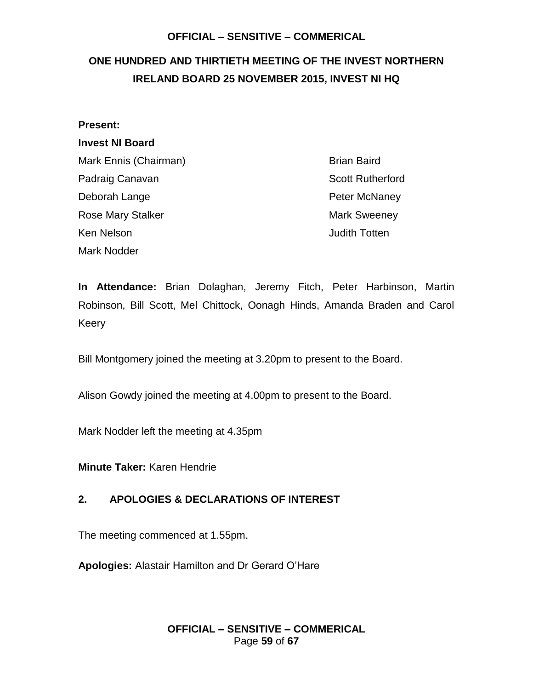# <span id="page-58-0"></span>**ONE HUNDRED AND THIRTIETH MEETING OF THE INVEST NORTHERN IRELAND BOARD 25 NOVEMBER 2015, INVEST NI HQ**

# **Present:**

# **Invest NI Board**

Mark Ennis (Chairman) Brian Baird Padraig Canavan **Scott Rutherford Scott Rutherford** Deborah Lange **Peter McNaney** Rose Mary Stalker Mark Sweeney Ken Nelson **Accord Contract Contract Contract Contract Contract Contract Contract Contract Contract Contract Contract Contract Contract Contract Contract Contract Contract Contract Contract Contract Contract Contract Contr** Mark Nodder

**In Attendance:** Brian Dolaghan, Jeremy Fitch, Peter Harbinson, Martin Robinson, Bill Scott, Mel Chittock, Oonagh Hinds, Amanda Braden and Carol Keery

Bill Montgomery joined the meeting at 3.20pm to present to the Board.

Alison Gowdy joined the meeting at 4.00pm to present to the Board.

Mark Nodder left the meeting at 4.35pm

**Minute Taker:** Karen Hendrie

# **2. APOLOGIES & DECLARATIONS OF INTEREST**

The meeting commenced at 1.55pm.

**Apologies:** Alastair Hamilton and Dr Gerard O'Hare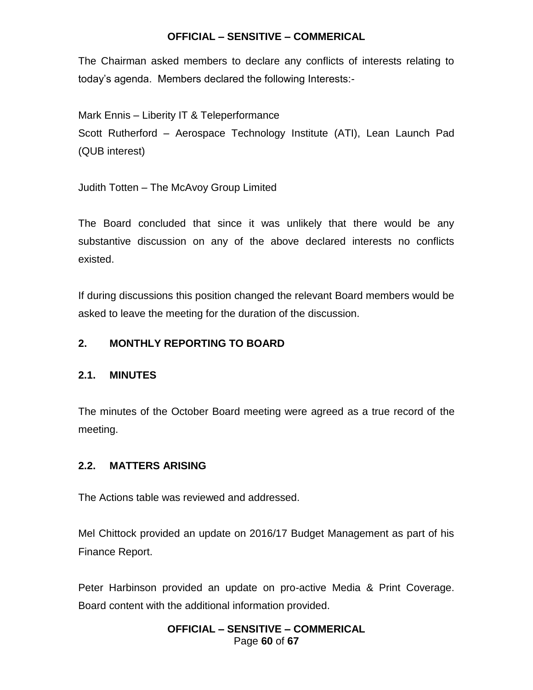The Chairman asked members to declare any conflicts of interests relating to today's agenda. Members declared the following Interests:-

Mark Ennis – Liberity IT & Teleperformance

Scott Rutherford – Aerospace Technology Institute (ATI), Lean Launch Pad (QUB interest)

Judith Totten – The McAvoy Group Limited

The Board concluded that since it was unlikely that there would be any substantive discussion on any of the above declared interests no conflicts existed.

If during discussions this position changed the relevant Board members would be asked to leave the meeting for the duration of the discussion.

# **2. MONTHLY REPORTING TO BOARD**

# **2.1. MINUTES**

The minutes of the October Board meeting were agreed as a true record of the meeting.

# **2.2. MATTERS ARISING**

The Actions table was reviewed and addressed.

Mel Chittock provided an update on 2016/17 Budget Management as part of his Finance Report.

Peter Harbinson provided an update on pro-active Media & Print Coverage. Board content with the additional information provided.

### **OFFICIAL – SENSITIVE – COMMERICAL** Page **60** of **67**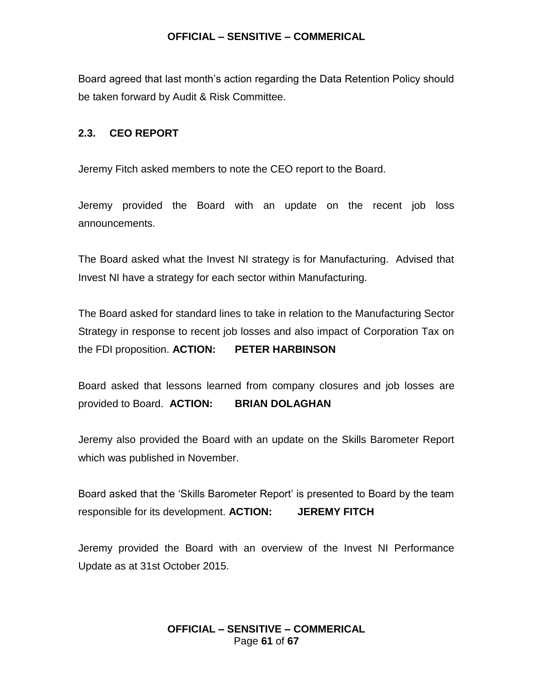Board agreed that last month's action regarding the Data Retention Policy should be taken forward by Audit & Risk Committee.

### **2.3. CEO REPORT**

Jeremy Fitch asked members to note the CEO report to the Board.

Jeremy provided the Board with an update on the recent job loss announcements.

The Board asked what the Invest NI strategy is for Manufacturing. Advised that Invest NI have a strategy for each sector within Manufacturing.

The Board asked for standard lines to take in relation to the Manufacturing Sector Strategy in response to recent job losses and also impact of Corporation Tax on the FDI proposition. **ACTION: PETER HARBINSON**

Board asked that lessons learned from company closures and job losses are provided to Board. **ACTION: BRIAN DOLAGHAN**

Jeremy also provided the Board with an update on the Skills Barometer Report which was published in November.

Board asked that the 'Skills Barometer Report' is presented to Board by the team responsible for its development. **ACTION: JEREMY FITCH** 

Jeremy provided the Board with an overview of the Invest NI Performance Update as at 31st October 2015.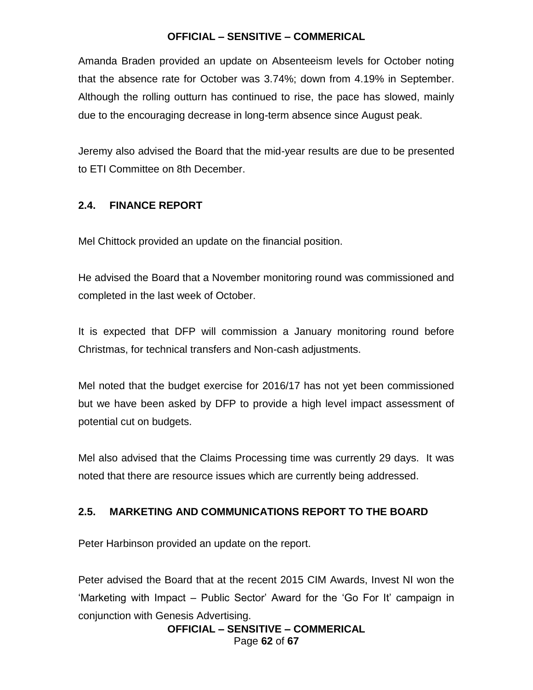Amanda Braden provided an update on Absenteeism levels for October noting that the absence rate for October was 3.74%; down from 4.19% in September. Although the rolling outturn has continued to rise, the pace has slowed, mainly due to the encouraging decrease in long-term absence since August peak.

Jeremy also advised the Board that the mid-year results are due to be presented to ETI Committee on 8th December.

### **2.4. FINANCE REPORT**

Mel Chittock provided an update on the financial position.

He advised the Board that a November monitoring round was commissioned and completed in the last week of October.

It is expected that DFP will commission a January monitoring round before Christmas, for technical transfers and Non-cash adjustments.

Mel noted that the budget exercise for 2016/17 has not yet been commissioned but we have been asked by DFP to provide a high level impact assessment of potential cut on budgets.

Mel also advised that the Claims Processing time was currently 29 days. It was noted that there are resource issues which are currently being addressed.

# **2.5. MARKETING AND COMMUNICATIONS REPORT TO THE BOARD**

Peter Harbinson provided an update on the report.

Peter advised the Board that at the recent 2015 CIM Awards, Invest NI won the 'Marketing with Impact – Public Sector' Award for the 'Go For It' campaign in conjunction with Genesis Advertising.

**OFFICIAL – SENSITIVE – COMMERICAL** Page **62** of **67**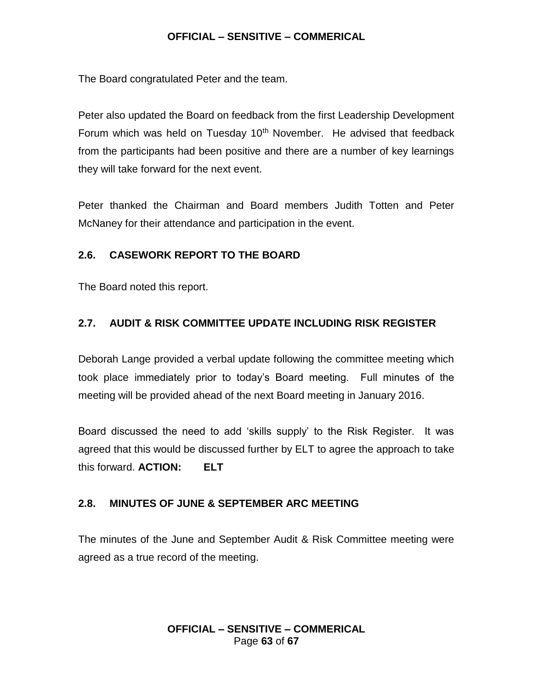The Board congratulated Peter and the team.

Peter also updated the Board on feedback from the first Leadership Development Forum which was held on Tuesday  $10<sup>th</sup>$  November. He advised that feedback from the participants had been positive and there are a number of key learnings they will take forward for the next event.

Peter thanked the Chairman and Board members Judith Totten and Peter McNaney for their attendance and participation in the event.

# **2.6. CASEWORK REPORT TO THE BOARD**

The Board noted this report.

# **2.7. AUDIT & RISK COMMITTEE UPDATE INCLUDING RISK REGISTER**

Deborah Lange provided a verbal update following the committee meeting which took place immediately prior to today's Board meeting. Full minutes of the meeting will be provided ahead of the next Board meeting in January 2016.

Board discussed the need to add 'skills supply' to the Risk Register. It was agreed that this would be discussed further by ELT to agree the approach to take this forward. **ACTION: ELT**

# **2.8. MINUTES OF JUNE & SEPTEMBER ARC MEETING**

The minutes of the June and September Audit & Risk Committee meeting were agreed as a true record of the meeting.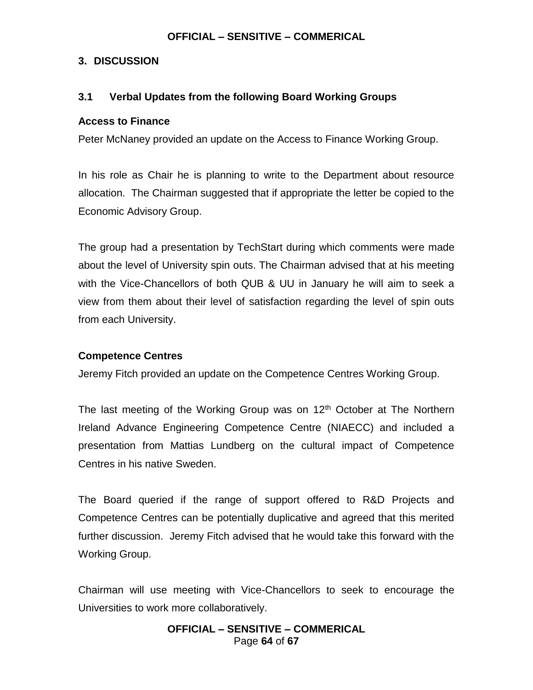### **3. DISCUSSION**

# **3.1 Verbal Updates from the following Board Working Groups**

### **Access to Finance**

Peter McNaney provided an update on the Access to Finance Working Group.

In his role as Chair he is planning to write to the Department about resource allocation. The Chairman suggested that if appropriate the letter be copied to the Economic Advisory Group.

The group had a presentation by TechStart during which comments were made about the level of University spin outs. The Chairman advised that at his meeting with the Vice-Chancellors of both QUB & UU in January he will aim to seek a view from them about their level of satisfaction regarding the level of spin outs from each University.

### **Competence Centres**

Jeremy Fitch provided an update on the Competence Centres Working Group.

The last meeting of the Working Group was on  $12<sup>th</sup>$  October at The Northern Ireland Advance Engineering Competence Centre (NIAECC) and included a presentation from Mattias Lundberg on the cultural impact of Competence Centres in his native Sweden.

The Board queried if the range of support offered to R&D Projects and Competence Centres can be potentially duplicative and agreed that this merited further discussion. Jeremy Fitch advised that he would take this forward with the Working Group.

Chairman will use meeting with Vice-Chancellors to seek to encourage the Universities to work more collaboratively.

> **OFFICIAL – SENSITIVE – COMMERICAL** Page **64** of **67**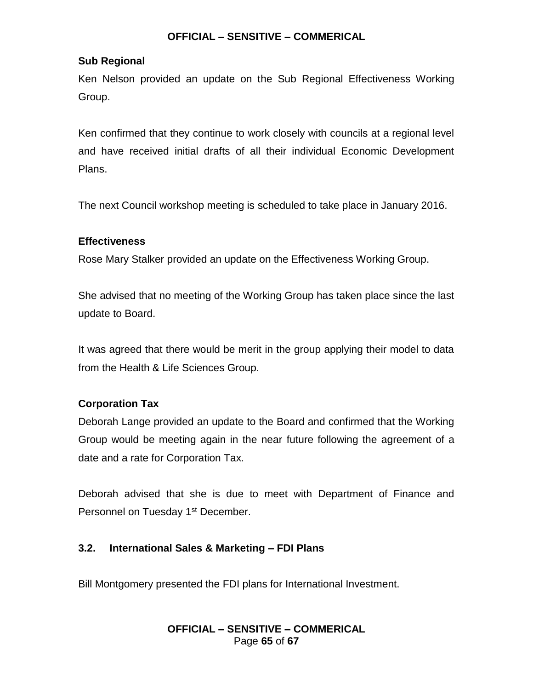# **Sub Regional**

Ken Nelson provided an update on the Sub Regional Effectiveness Working Group.

Ken confirmed that they continue to work closely with councils at a regional level and have received initial drafts of all their individual Economic Development Plans.

The next Council workshop meeting is scheduled to take place in January 2016.

# **Effectiveness**

Rose Mary Stalker provided an update on the Effectiveness Working Group.

She advised that no meeting of the Working Group has taken place since the last update to Board.

It was agreed that there would be merit in the group applying their model to data from the Health & Life Sciences Group.

# **Corporation Tax**

Deborah Lange provided an update to the Board and confirmed that the Working Group would be meeting again in the near future following the agreement of a date and a rate for Corporation Tax.

Deborah advised that she is due to meet with Department of Finance and Personnel on Tuesday 1<sup>st</sup> December.

# **3.2. International Sales & Marketing – FDI Plans**

Bill Montgomery presented the FDI plans for International Investment.

### **OFFICIAL – SENSITIVE – COMMERICAL** Page **65** of **67**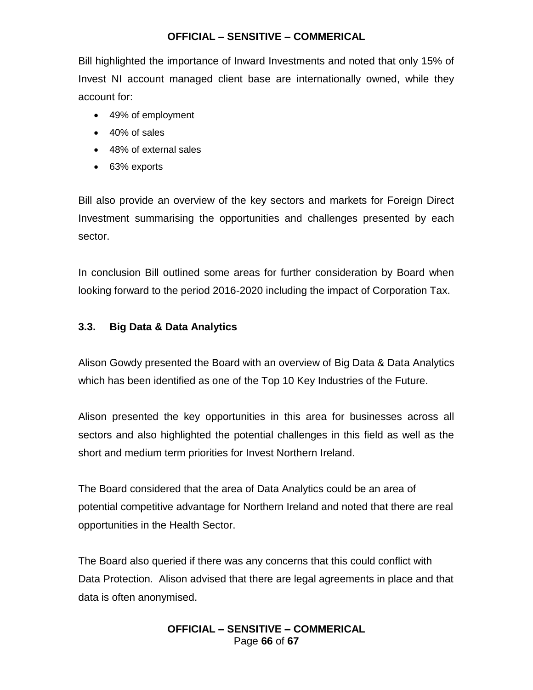Bill highlighted the importance of Inward Investments and noted that only 15% of Invest NI account managed client base are internationally owned, while they account for:

- 49% of employment
- 40% of sales
- 48% of external sales
- 63% exports

Bill also provide an overview of the key sectors and markets for Foreign Direct Investment summarising the opportunities and challenges presented by each sector.

In conclusion Bill outlined some areas for further consideration by Board when looking forward to the period 2016-2020 including the impact of Corporation Tax.

### **3.3. Big Data & Data Analytics**

Alison Gowdy presented the Board with an overview of Big Data & Data Analytics which has been identified as one of the Top 10 Key Industries of the Future.

Alison presented the key opportunities in this area for businesses across all sectors and also highlighted the potential challenges in this field as well as the short and medium term priorities for Invest Northern Ireland.

The Board considered that the area of Data Analytics could be an area of potential competitive advantage for Northern Ireland and noted that there are real opportunities in the Health Sector.

The Board also queried if there was any concerns that this could conflict with Data Protection. Alison advised that there are legal agreements in place and that data is often anonymised.

### **OFFICIAL – SENSITIVE – COMMERICAL** Page **66** of **67**